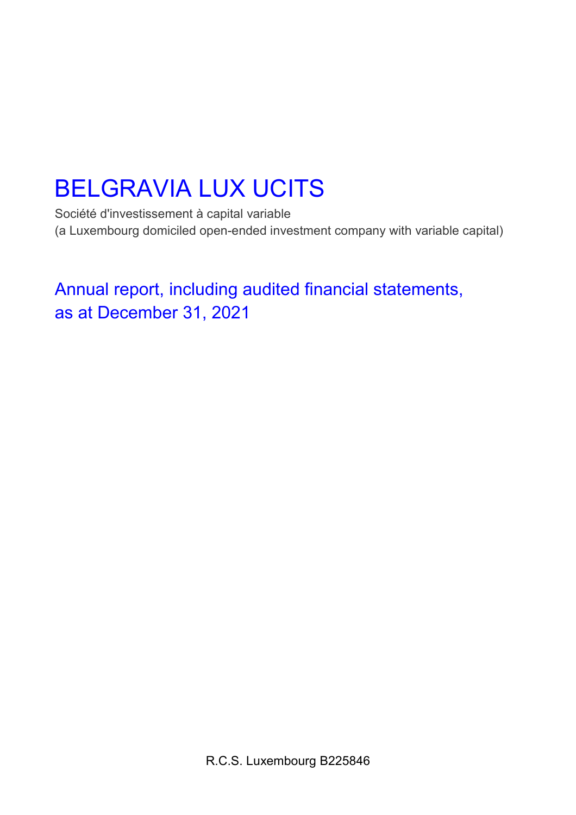Société d'investissement à capital variable (a Luxembourg domiciled open-ended investment company with variable capital)

Annual report, including audited financial statements, as at December 31, 2021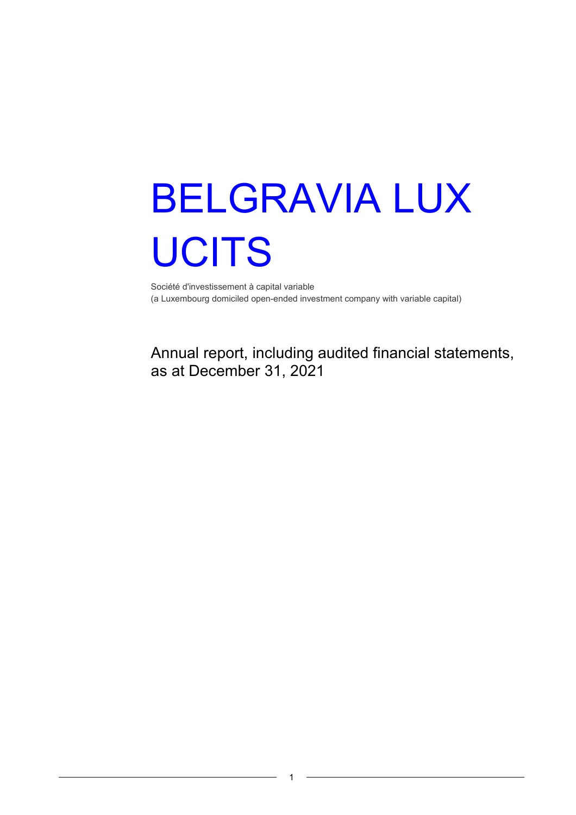Société d'investissement à capital variable (a Luxembourg domiciled open-ended investment company with variable capital)

Annual report, including audited financial statements, as at December 31, 2021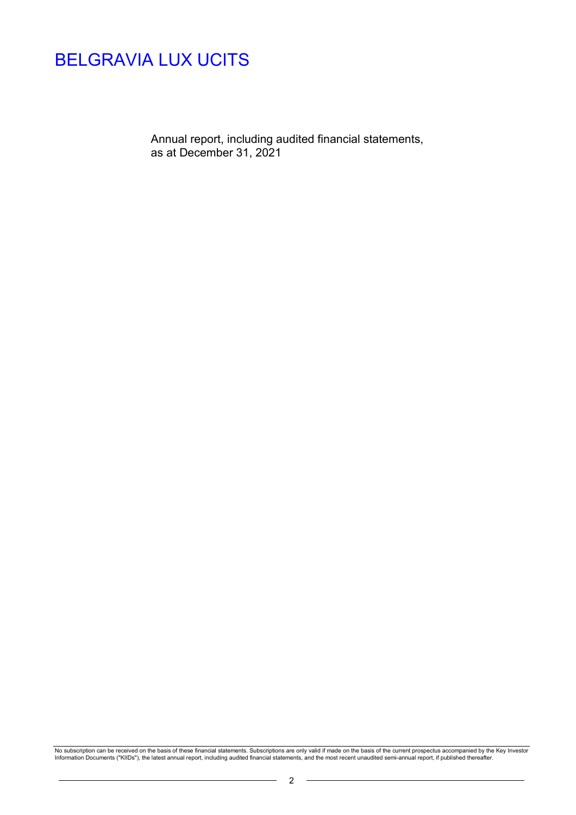Annual report, including audited financial statements, as at December 31, 2021

No subscription can be received on the basis of these financial statements. Subscriptions are only valid if made on the basis of the current prospectus accompanied by the Key Investor<br>Information Documents ("KIIDs"), the l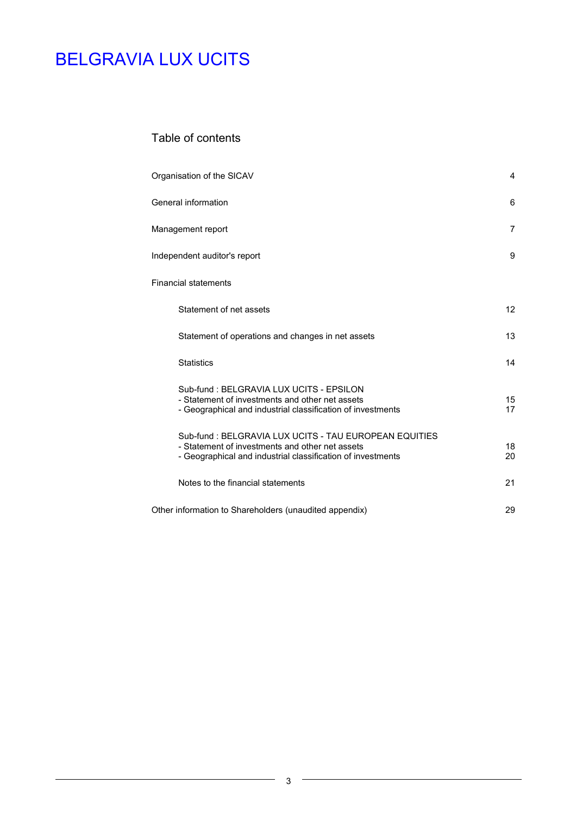## Table of contents

| Organisation of the SICAV                                                                                                                                               | 4        |
|-------------------------------------------------------------------------------------------------------------------------------------------------------------------------|----------|
| General information                                                                                                                                                     | 6        |
| Management report                                                                                                                                                       | 7        |
| Independent auditor's report                                                                                                                                            | 9        |
| <b>Financial statements</b>                                                                                                                                             |          |
| Statement of net assets                                                                                                                                                 | 12       |
| Statement of operations and changes in net assets                                                                                                                       | 13       |
| <b>Statistics</b>                                                                                                                                                       | 14       |
| Sub-fund : BELGRAVIA LUX UCITS - EPSILON<br>- Statement of investments and other net assets<br>- Geographical and industrial classification of investments              | 15<br>17 |
| Sub-fund: BELGRAVIA LUX UCITS - TAU EUROPEAN EQUITIES<br>- Statement of investments and other net assets<br>- Geographical and industrial classification of investments | 18<br>20 |
| Notes to the financial statements                                                                                                                                       | 21       |
| Other information to Shareholders (unaudited appendix)                                                                                                                  | 29       |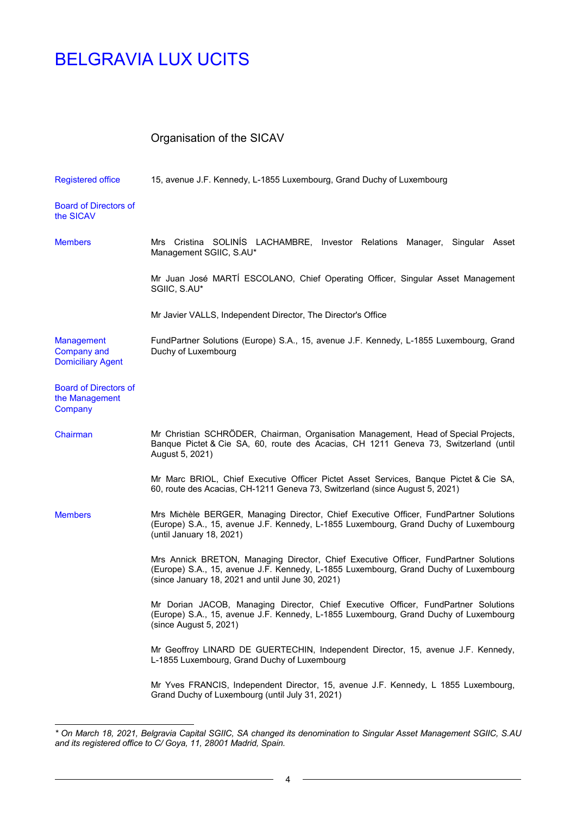$\overline{a}$ 

# Organisation of the SICAV

| <b>Registered office</b>                                     | 15, avenue J.F. Kennedy, L-1855 Luxembourg, Grand Duchy of Luxembourg                                                                                                                                                            |
|--------------------------------------------------------------|----------------------------------------------------------------------------------------------------------------------------------------------------------------------------------------------------------------------------------|
| <b>Board of Directors of</b><br>the SICAV                    |                                                                                                                                                                                                                                  |
| <b>Members</b>                                               | Mrs Cristina SOLINIS LACHAMBRE, Investor Relations Manager, Singular Asset<br>Management SGIIC, S.AU*                                                                                                                            |
|                                                              | Mr Juan José MARTÍ ESCOLANO, Chief Operating Officer, Singular Asset Management<br>SGIIC, S.AU*                                                                                                                                  |
|                                                              | Mr Javier VALLS, Independent Director, The Director's Office                                                                                                                                                                     |
| Management<br><b>Company and</b><br><b>Domiciliary Agent</b> | FundPartner Solutions (Europe) S.A., 15, avenue J.F. Kennedy, L-1855 Luxembourg, Grand<br>Duchy of Luxembourg                                                                                                                    |
| <b>Board of Directors of</b><br>the Management<br>Company    |                                                                                                                                                                                                                                  |
| Chairman                                                     | Mr Christian SCHRÖDER, Chairman, Organisation Management, Head of Special Projects,<br>Banque Pictet & Cie SA, 60, route des Acacias, CH 1211 Geneva 73, Switzerland (until<br>August 5, 2021)                                   |
|                                                              | Mr Marc BRIOL, Chief Executive Officer Pictet Asset Services, Banque Pictet & Cie SA,<br>60, route des Acacias, CH-1211 Geneva 73, Switzerland (since August 5, 2021)                                                            |
| <b>Members</b>                                               | Mrs Michèle BERGER, Managing Director, Chief Executive Officer, FundPartner Solutions<br>(Europe) S.A., 15, avenue J.F. Kennedy, L-1855 Luxembourg, Grand Duchy of Luxembourg<br>(until January 18, 2021)                        |
|                                                              | Mrs Annick BRETON, Managing Director, Chief Executive Officer, FundPartner Solutions<br>(Europe) S.A., 15, avenue J.F. Kennedy, L-1855 Luxembourg, Grand Duchy of Luxembourg<br>(since January 18, 2021 and until June 30, 2021) |
|                                                              | Mr Dorian JACOB, Managing Director, Chief Executive Officer, FundPartner Solutions<br>(Europe) S.A., 15, avenue J.F. Kennedy, L-1855 Luxembourg, Grand Duchy of Luxembourg<br>$(since$ August 5, 2021)                           |
|                                                              | Mr Geoffroy LINARD DE GUERTECHIN, Independent Director, 15, avenue J.F. Kennedy,<br>L-1855 Luxembourg, Grand Duchy of Luxembourg                                                                                                 |
|                                                              | Mr Yves FRANCIS, Independent Director, 15, avenue J.F. Kennedy, L 1855 Luxembourg,<br>Grand Duchy of Luxembourg (until July 31, 2021)                                                                                            |

*<sup>\*</sup> On March 18, 2021, Belgravia Capital SGIIC, SA changed its denomination to Singular Asset Management SGIIC, S.AU and its registered office to C/ Goya, 11, 28001 Madrid, Spain.*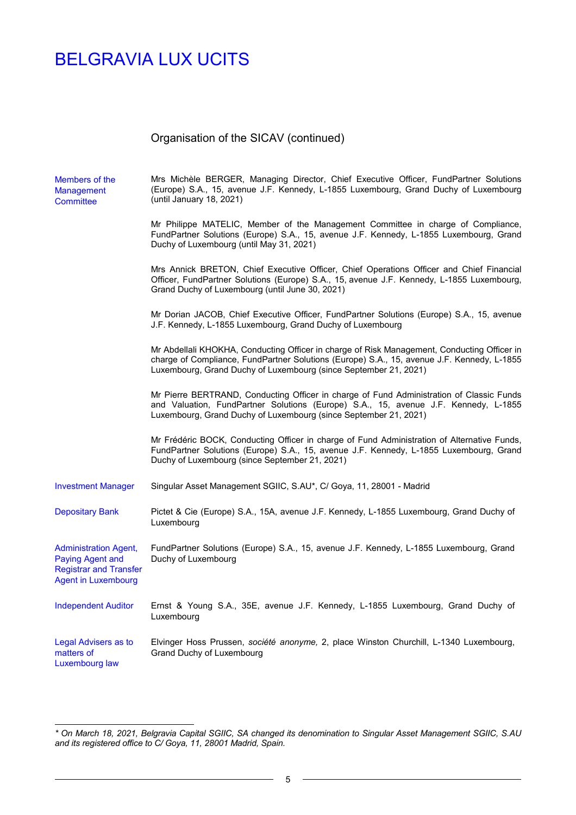$\overline{a}$ 

| Members of the<br><b>Management</b><br><b>Committee</b>                                                                | Mrs Michèle BERGER, Managing Director, Chief Executive Officer, FundPartner Solutions<br>(Europe) S.A., 15, avenue J.F. Kennedy, L-1855 Luxembourg, Grand Duchy of Luxembourg<br>(until January 18, 2021)                                                     |
|------------------------------------------------------------------------------------------------------------------------|---------------------------------------------------------------------------------------------------------------------------------------------------------------------------------------------------------------------------------------------------------------|
|                                                                                                                        | Mr Philippe MATELIC, Member of the Management Committee in charge of Compliance,<br>FundPartner Solutions (Europe) S.A., 15, avenue J.F. Kennedy, L-1855 Luxembourg, Grand<br>Duchy of Luxembourg (until May 31, 2021)                                        |
|                                                                                                                        | Mrs Annick BRETON, Chief Executive Officer, Chief Operations Officer and Chief Financial<br>Officer, FundPartner Solutions (Europe) S.A., 15, avenue J.F. Kennedy, L-1855 Luxembourg,<br>Grand Duchy of Luxembourg (until June 30, 2021)                      |
|                                                                                                                        | Mr Dorian JACOB, Chief Executive Officer, FundPartner Solutions (Europe) S.A., 15, avenue<br>J.F. Kennedy, L-1855 Luxembourg, Grand Duchy of Luxembourg                                                                                                       |
|                                                                                                                        | Mr Abdellali KHOKHA, Conducting Officer in charge of Risk Management, Conducting Officer in<br>charge of Compliance, FundPartner Solutions (Europe) S.A., 15, avenue J.F. Kennedy, L-1855<br>Luxembourg, Grand Duchy of Luxembourg (since September 21, 2021) |
|                                                                                                                        | Mr Pierre BERTRAND, Conducting Officer in charge of Fund Administration of Classic Funds<br>and Valuation, FundPartner Solutions (Europe) S.A., 15, avenue J.F. Kennedy, L-1855<br>Luxembourg, Grand Duchy of Luxembourg (since September 21, 2021)           |
|                                                                                                                        | Mr Frédéric BOCK, Conducting Officer in charge of Fund Administration of Alternative Funds,<br>FundPartner Solutions (Europe) S.A., 15, avenue J.F. Kennedy, L-1855 Luxembourg, Grand<br>Duchy of Luxembourg (since September 21, 2021)                       |
| <b>Investment Manager</b>                                                                                              | Singular Asset Management SGIIC, S.AU*, C/ Goya, 11, 28001 - Madrid                                                                                                                                                                                           |
| <b>Depositary Bank</b>                                                                                                 | Pictet & Cie (Europe) S.A., 15A, avenue J.F. Kennedy, L-1855 Luxembourg, Grand Duchy of<br>Luxembourg                                                                                                                                                         |
| <b>Administration Agent,</b><br><b>Paying Agent and</b><br><b>Registrar and Transfer</b><br><b>Agent in Luxembourg</b> | FundPartner Solutions (Europe) S.A., 15, avenue J.F. Kennedy, L-1855 Luxembourg, Grand<br>Duchy of Luxembourg                                                                                                                                                 |
| <b>Independent Auditor</b>                                                                                             | Ernst & Young S.A., 35E, avenue J.F. Kennedy, L-1855 Luxembourg, Grand Duchy of<br>Luxembourg                                                                                                                                                                 |
| Legal Advisers as to<br>matters of<br>Luxembourg law                                                                   | Elvinger Hoss Prussen, société anonyme, 2, place Winston Churchill, L-1340 Luxembourg,<br>Grand Duchy of Luxembourg                                                                                                                                           |

 $\overline{\phantom{a}}$ 

*<sup>\*</sup> On March 18, 2021, Belgravia Capital SGIIC, SA changed its denomination to Singular Asset Management SGIIC, S.AU and its registered office to C/ Goya, 11, 28001 Madrid, Spain.*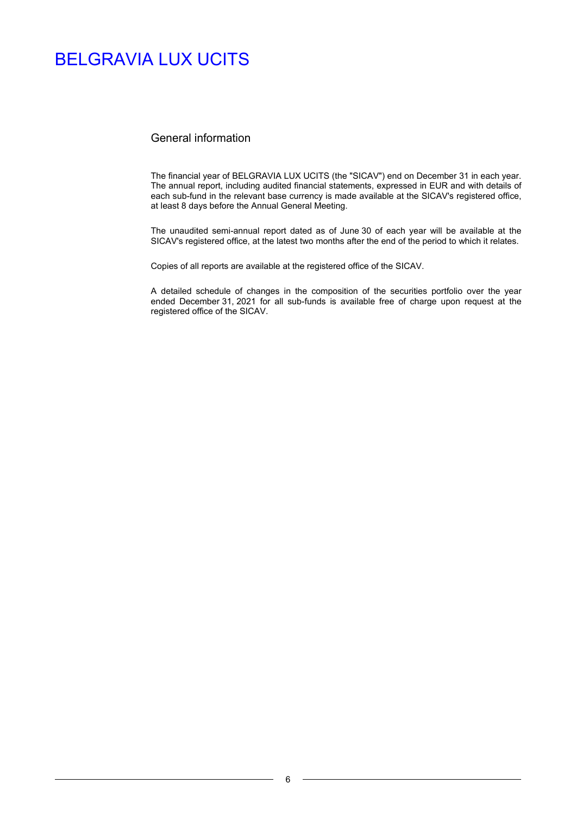### General information

The financial year of BELGRAVIA LUX UCITS (the "SICAV") end on December 31 in each year. The annual report, including audited financial statements, expressed in EUR and with details of each sub-fund in the relevant base currency is made available at the SICAV's registered office, at least 8 days before the Annual General Meeting.

The unaudited semi-annual report dated as of June 30 of each year will be available at the SICAV's registered office, at the latest two months after the end of the period to which it relates.

Copies of all reports are available at the registered office of the SICAV.

A detailed schedule of changes in the composition of the securities portfolio over the year ended December 31, 2021 for all sub-funds is available free of charge upon request at the registered office of the SICAV.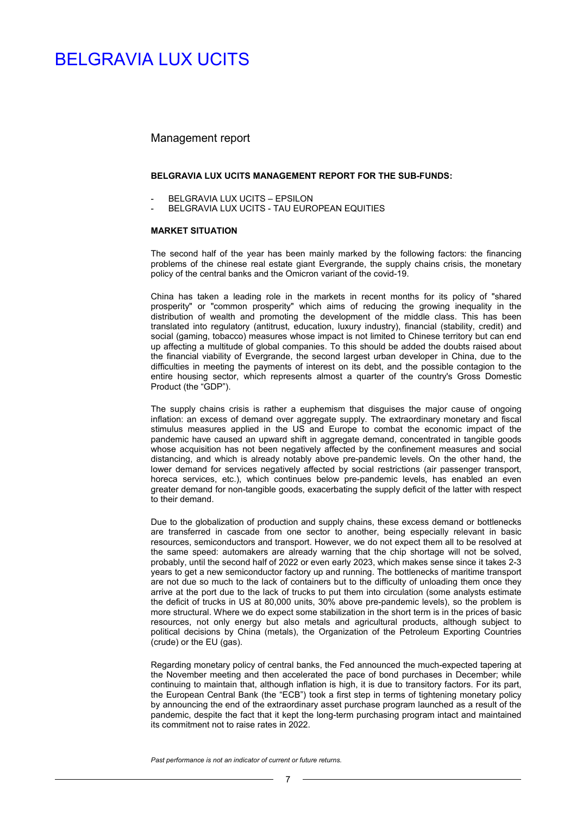#### Management report

#### **BELGRAVIA LUX UCITS MANAGEMENT REPORT FOR THE SUB-FUNDS:**

- BELGRAVIA LUX UCITS EPSILON
- BELGRAVIA LUX UCITS TAU EUROPEAN EQUITIES

#### **MARKET SITUATION**

The second half of the year has been mainly marked by the following factors: the financing problems of the chinese real estate giant Evergrande, the supply chains crisis, the monetary policy of the central banks and the Omicron variant of the covid-19.

China has taken a leading role in the markets in recent months for its policy of "shared prosperity" or "common prosperity" which aims of reducing the growing inequality in the distribution of wealth and promoting the development of the middle class. This has been translated into regulatory (antitrust, education, luxury industry), financial (stability, credit) and social (gaming, tobacco) measures whose impact is not limited to Chinese territory but can end up affecting a multitude of global companies. To this should be added the doubts raised about the financial viability of Evergrande, the second largest urban developer in China, due to the difficulties in meeting the payments of interest on its debt, and the possible contagion to the entire housing sector, which represents almost a quarter of the country's Gross Domestic Product (the "GDP").

The supply chains crisis is rather a euphemism that disguises the major cause of ongoing inflation: an excess of demand over aggregate supply. The extraordinary monetary and fiscal stimulus measures applied in the US and Europe to combat the economic impact of the pandemic have caused an upward shift in aggregate demand, concentrated in tangible goods whose acquisition has not been negatively affected by the confinement measures and social distancing, and which is already notably above pre-pandemic levels. On the other hand, the lower demand for services negatively affected by social restrictions (air passenger transport, horeca services, etc.), which continues below pre-pandemic levels, has enabled an even greater demand for non-tangible goods, exacerbating the supply deficit of the latter with respect to their demand.

Due to the globalization of production and supply chains, these excess demand or bottlenecks are transferred in cascade from one sector to another, being especially relevant in basic resources, semiconductors and transport. However, we do not expect them all to be resolved at the same speed: automakers are already warning that the chip shortage will not be solved, probably, until the second half of 2022 or even early 2023, which makes sense since it takes 2-3 years to get a new semiconductor factory up and running. The bottlenecks of maritime transport are not due so much to the lack of containers but to the difficulty of unloading them once they arrive at the port due to the lack of trucks to put them into circulation (some analysts estimate the deficit of trucks in US at 80,000 units, 30% above pre-pandemic levels), so the problem is more structural. Where we do expect some stabilization in the short term is in the prices of basic resources, not only energy but also metals and agricultural products, although subject to political decisions by China (metals), the Organization of the Petroleum Exporting Countries (crude) or the EU (gas).

Regarding monetary policy of central banks, the Fed announced the much-expected tapering at the November meeting and then accelerated the pace of bond purchases in December; while continuing to maintain that, although inflation is high, it is due to transitory factors. For its part, the European Central Bank (the "ECB") took a first step in terms of tightening monetary policy by announcing the end of the extraordinary asset purchase program launched as a result of the pandemic, despite the fact that it kept the long-term purchasing program intact and maintained its commitment not to raise rates in 2022.

*Past performance is not an indicator of current or future returns.*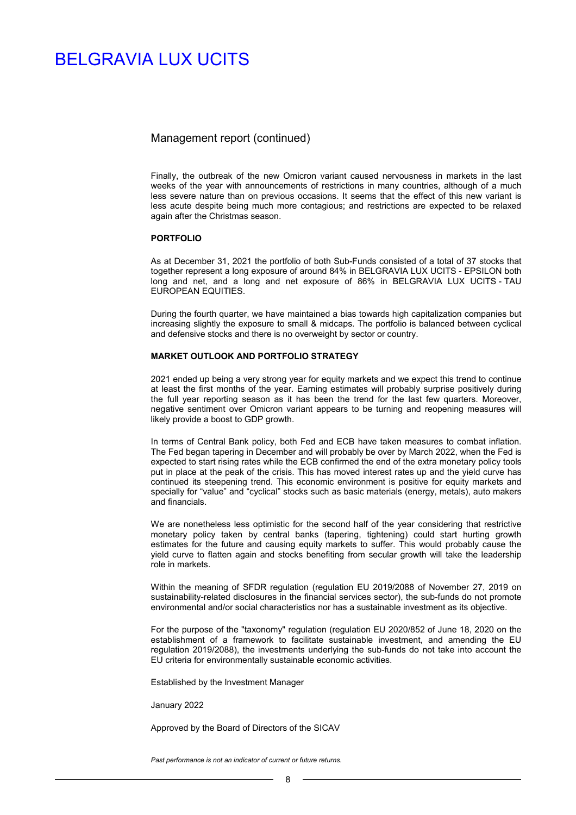### Management report (continued)

Finally, the outbreak of the new Omicron variant caused nervousness in markets in the last weeks of the year with announcements of restrictions in many countries, although of a much less severe nature than on previous occasions. It seems that the effect of this new variant is less acute despite being much more contagious; and restrictions are expected to be relaxed again after the Christmas season.

#### **PORTFOLIO**

As at December 31, 2021 the portfolio of both Sub-Funds consisted of a total of 37 stocks that together represent a long exposure of around 84% in BELGRAVIA LUX UCITS - EPSILON both long and net, and a long and net exposure of 86% in BELGRAVIA LUX UCITS - TAU EUROPEAN EQUITIES.

During the fourth quarter, we have maintained a bias towards high capitalization companies but increasing slightly the exposure to small & midcaps. The portfolio is balanced between cyclical and defensive stocks and there is no overweight by sector or country.

#### **MARKET OUTLOOK AND PORTFOLIO STRATEGY**

2021 ended up being a very strong year for equity markets and we expect this trend to continue at least the first months of the year. Earning estimates will probably surprise positively during the full year reporting season as it has been the trend for the last few quarters. Moreover, negative sentiment over Omicron variant appears to be turning and reopening measures will likely provide a boost to GDP growth.

In terms of Central Bank policy, both Fed and ECB have taken measures to combat inflation. The Fed began tapering in December and will probably be over by March 2022, when the Fed is expected to start rising rates while the ECB confirmed the end of the extra monetary policy tools put in place at the peak of the crisis. This has moved interest rates up and the yield curve has continued its steepening trend. This economic environment is positive for equity markets and specially for "value" and "cyclical" stocks such as basic materials (energy, metals), auto makers and financials.

We are nonetheless less optimistic for the second half of the year considering that restrictive monetary policy taken by central banks (tapering, tightening) could start hurting growth estimates for the future and causing equity markets to suffer. This would probably cause the yield curve to flatten again and stocks benefiting from secular growth will take the leadership role in markets.

Within the meaning of SFDR regulation (regulation EU 2019/2088 of November 27, 2019 on sustainability-related disclosures in the financial services sector), the sub-funds do not promote environmental and/or social characteristics nor has a sustainable investment as its objective.

For the purpose of the "taxonomy" regulation (regulation EU 2020/852 of June 18, 2020 on the establishment of a framework to facilitate sustainable investment, and amending the EU regulation 2019/2088), the investments underlying the sub-funds do not take into account the EU criteria for environmentally sustainable economic activities.

Established by the Investment Manager

January 2022

Approved by the Board of Directors of the SICAV

*Past performance is not an indicator of current or future returns.*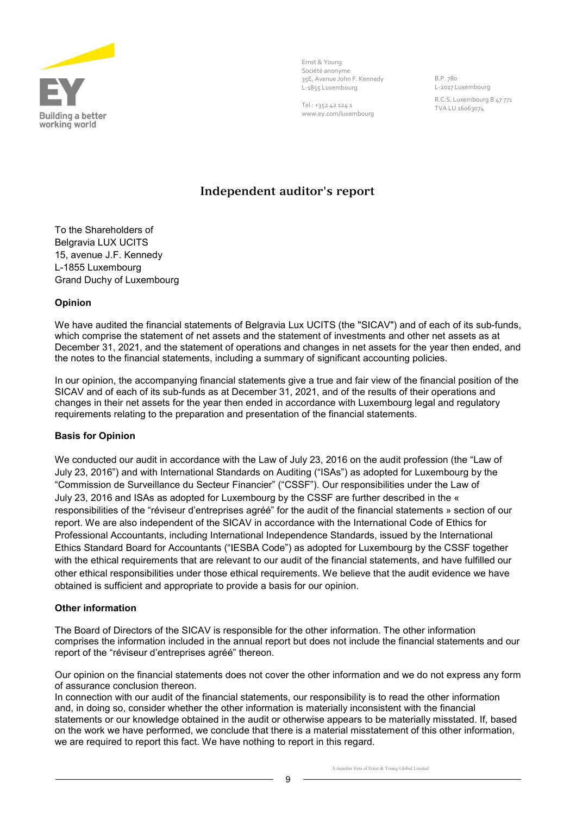

Ernst & Young Société anonyme 35E, Avenue John F. Kennedy L-1855 Luxembourg

Tel : +352 42 124 1 www.ey.com/luxembourg B.P. 780 L-2017 Luxembourg R.C.S. Luxembourg B 47 771 TVA LU 16063074

# **Independent auditor's report**

To the Shareholders of Belgravia LUX UCITS 15, avenue J.F. Kennedy L-1855 Luxembourg Grand Duchy of Luxembourg

### **Opinion**

We have audited the financial statements of Belgravia Lux UCITS (the "SICAV") and of each of its sub-funds, which comprise the statement of net assets and the statement of investments and other net assets as at December 31, 2021, and the statement of operations and changes in net assets for the year then ended, and the notes to the financial statements, including a summary of significant accounting policies.

In our opinion, the accompanying financial statements give a true and fair view of the financial position of the SICAV and of each of its sub-funds as at December 31, 2021, and of the results of their operations and changes in their net assets for the year then ended in accordance with Luxembourg legal and regulatory requirements relating to the preparation and presentation of the financial statements.

### **Basis for Opinion**

We conducted our audit in accordance with the Law of July 23, 2016 on the audit profession (the "Law of July 23, 2016") and with International Standards on Auditing ("ISAs") as adopted for Luxembourg by the "Commission de Surveillance du Secteur Financier" ("CSSF"). Our responsibilities under the Law of July 23, 2016 and ISAs as adopted for Luxembourg by the CSSF are further described in the « responsibilities of the "réviseur d'entreprises agréé" for the audit of the financial statements » section of our report. We are also independent of the SICAV in accordance with the International Code of Ethics for Professional Accountants, including International Independence Standards, issued by the International Ethics Standard Board for Accountants ("IESBA Code") as adopted for Luxembourg by the CSSF together with the ethical requirements that are relevant to our audit of the financial statements, and have fulfilled our other ethical responsibilities under those ethical requirements. We believe that the audit evidence we have obtained is sufficient and appropriate to provide a basis for our opinion.

### **Other information**

The Board of Directors of the SICAV is responsible for the other information. The other information comprises the information included in the annual report but does not include the financial statements and our report of the "réviseur d'entreprises agréé" thereon.

Our opinion on the financial statements does not cover the other information and we do not express any form of assurance conclusion thereon.

In connection with our audit of the financial statements, our responsibility is to read the other information and, in doing so, consider whether the other information is materially inconsistent with the financial statements or our knowledge obtained in the audit or otherwise appears to be materially misstated. If, based on the work we have performed, we conclude that there is a material misstatement of this other information, we are required to report this fact. We have nothing to report in this regard.

A member firm of Ernst & Young Global Limited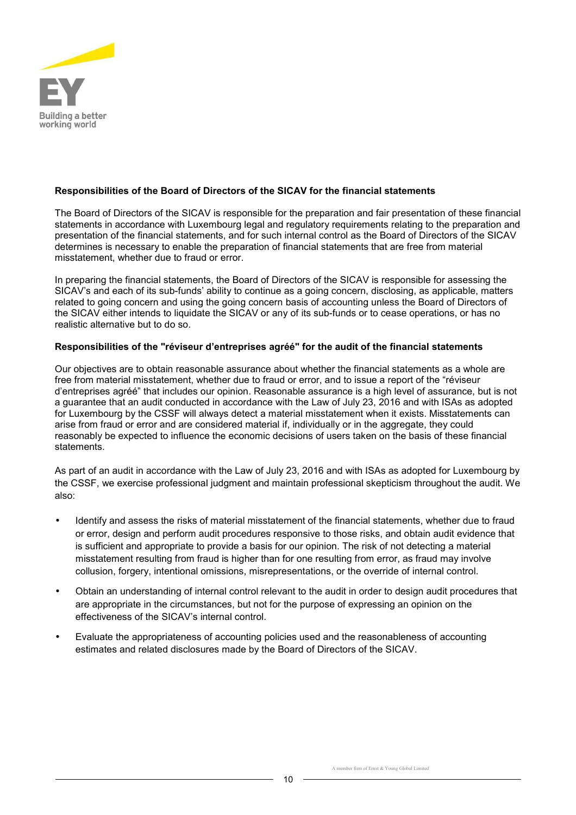

### **Responsibilities of the Board of Directors of the SICAV for the financial statements**

The Board of Directors of the SICAV is responsible for the preparation and fair presentation of these financial statements in accordance with Luxembourg legal and regulatory requirements relating to the preparation and presentation of the financial statements, and for such internal control as the Board of Directors of the SICAV determines is necessary to enable the preparation of financial statements that are free from material misstatement, whether due to fraud or error.

In preparing the financial statements, the Board of Directors of the SICAV is responsible for assessing the SICAV's and each of its sub-funds' ability to continue as a going concern, disclosing, as applicable, matters related to going concern and using the going concern basis of accounting unless the Board of Directors of the SICAV either intends to liquidate the SICAV or any of its sub-funds or to cease operations, or has no realistic alternative but to do so.

### **Responsibilities of the "réviseur d'entreprises agréé" for the audit of the financial statements**

Our objectives are to obtain reasonable assurance about whether the financial statements as a whole are free from material misstatement, whether due to fraud or error, and to issue a report of the "réviseur d'entreprises agréé" that includes our opinion. Reasonable assurance is a high level of assurance, but is not a guarantee that an audit conducted in accordance with the Law of July 23, 2016 and with ISAs as adopted for Luxembourg by the CSSF will always detect a material misstatement when it exists. Misstatements can arise from fraud or error and are considered material if, individually or in the aggregate, they could reasonably be expected to influence the economic decisions of users taken on the basis of these financial statements.

As part of an audit in accordance with the Law of July 23, 2016 and with ISAs as adopted for Luxembourg by the CSSF, we exercise professional judgment and maintain professional skepticism throughout the audit. We also:

- Identify and assess the risks of material misstatement of the financial statements, whether due to fraud or error, design and perform audit procedures responsive to those risks, and obtain audit evidence that is sufficient and appropriate to provide a basis for our opinion. The risk of not detecting a material misstatement resulting from fraud is higher than for one resulting from error, as fraud may involve collusion, forgery, intentional omissions, misrepresentations, or the override of internal control.
- Obtain an understanding of internal control relevant to the audit in order to design audit procedures that are appropriate in the circumstances, but not for the purpose of expressing an opinion on the effectiveness of the SICAV's internal control.
- Evaluate the appropriateness of accounting policies used and the reasonableness of accounting estimates and related disclosures made by the Board of Directors of the SICAV.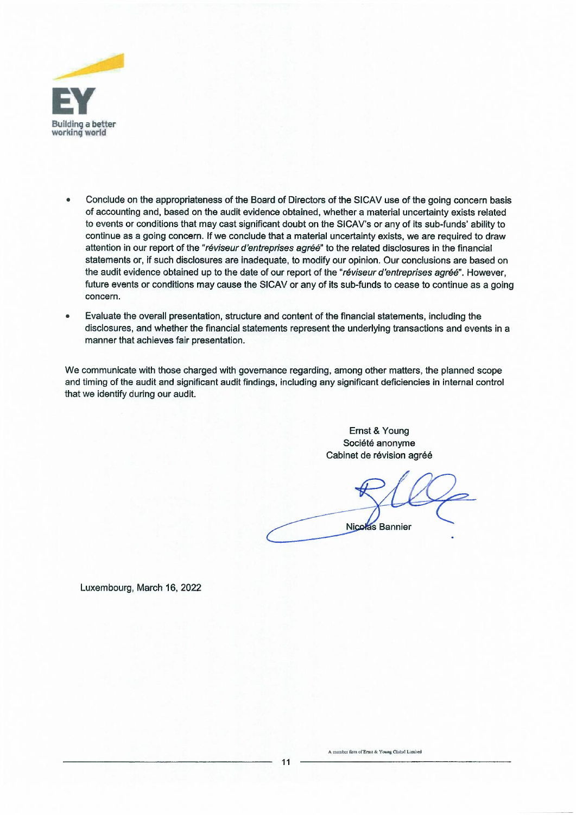

- Conclude on the appropriateness of the Board of Directors of the SICAV use of the going concern basis of accounting and, based on the audit evidence obtained, whether a material uncertainty exists related to events or conditions that may cast significant doubt on the SICAV's or any of its sub-funds' ability to continue as a going concern. If we conclude that a material uncertainty exists, we are required to draw attention in our report of the *"reviseur d'entreprises agree"* to the related disclosures in the financial statements or, if such disclosures are inadequate, to modify our opinion. Our conclusions are based on the audit evidence obtained up to the date of our report of the *"reviseur d'entreprises agree".* However, future events or conditions may cause the SICAV or any of its sub-funds to cease to continue as a going concern.
- Evaluate the overall presentation, structure and content of the financial statements, including the disclosures, and whether the financial statements represent the underlying transactions and events in a manner that achieves fair presentation.

We communicate with those charged with governance regarding, among other matters, the planned scope and timing of the audit and significant audit findings, including any significant deficiencies in internal control that we identify during our audit.

> Ernst & Young Société anonyme Cabinet de révision agréé

**Nicolas Bannier** 

Luxembourg, March 16, 2022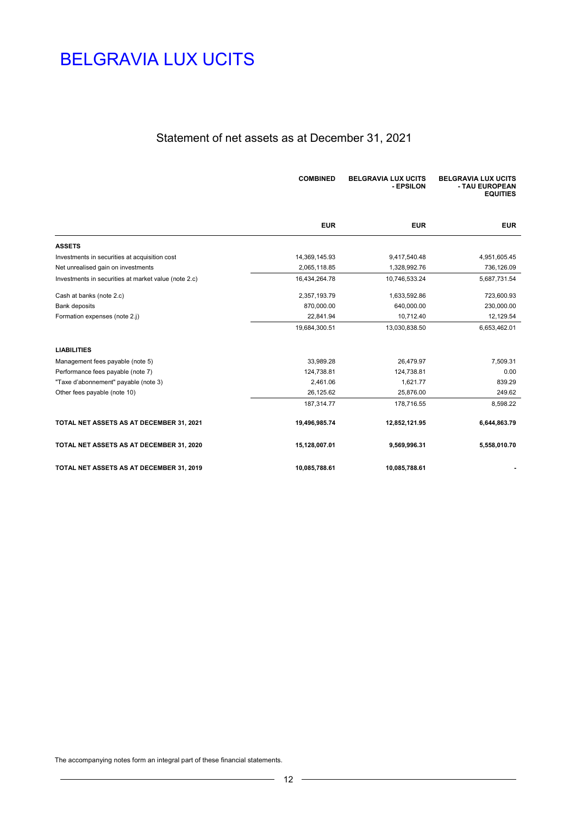# Statement of net assets as at December 31, 2021

|                                                      | <b>COMBINED</b> | <b>BELGRAVIA LUX UCITS</b><br>- EPSILON | <b>BELGRAVIA LUX UCITS</b><br>- TAU EUROPEAN<br><b>EQUITIES</b> |
|------------------------------------------------------|-----------------|-----------------------------------------|-----------------------------------------------------------------|
|                                                      | <b>EUR</b>      | <b>EUR</b>                              | <b>EUR</b>                                                      |
| <b>ASSETS</b>                                        |                 |                                         |                                                                 |
| Investments in securities at acquisition cost        | 14,369,145.93   | 9,417,540.48                            | 4,951,605.45                                                    |
| Net unrealised gain on investments                   | 2,065,118.85    | 1,328,992.76                            | 736,126.09                                                      |
| Investments in securities at market value (note 2.c) | 16,434,264.78   | 10,746,533.24                           | 5,687,731.54                                                    |
| Cash at banks (note 2.c)                             | 2,357,193.79    | 1,633,592.86                            | 723,600.93                                                      |
| <b>Bank deposits</b>                                 | 870,000.00      | 640,000.00                              | 230,000.00                                                      |
| Formation expenses (note 2.j)                        | 22,841.94       | 10,712.40                               | 12,129.54                                                       |
|                                                      | 19,684,300.51   | 13,030,838.50                           | 6,653,462.01                                                    |
| <b>LIABILITIES</b>                                   |                 |                                         |                                                                 |
| Management fees payable (note 5)                     | 33,989.28       | 26,479.97                               | 7,509.31                                                        |
| Performance fees payable (note 7)                    | 124,738.81      | 124,738.81                              | 0.00                                                            |
| "Taxe d'abonnement" payable (note 3)                 | 2,461.06        | 1,621.77                                | 839.29                                                          |
| Other fees payable (note 10)                         | 26,125.62       | 25,876.00                               | 249.62                                                          |
|                                                      | 187,314.77      | 178,716.55                              | 8,598.22                                                        |
| TOTAL NET ASSETS AS AT DECEMBER 31, 2021             | 19,496,985.74   | 12,852,121.95                           | 6,644,863.79                                                    |
| TOTAL NET ASSETS AS AT DECEMBER 31, 2020             | 15,128,007.01   | 9,569,996.31                            | 5,558,010.70                                                    |
| TOTAL NET ASSETS AS AT DECEMBER 31, 2019             | 10,085,788.61   | 10,085,788.61                           |                                                                 |

The accompanying notes form an integral part of these financial statements.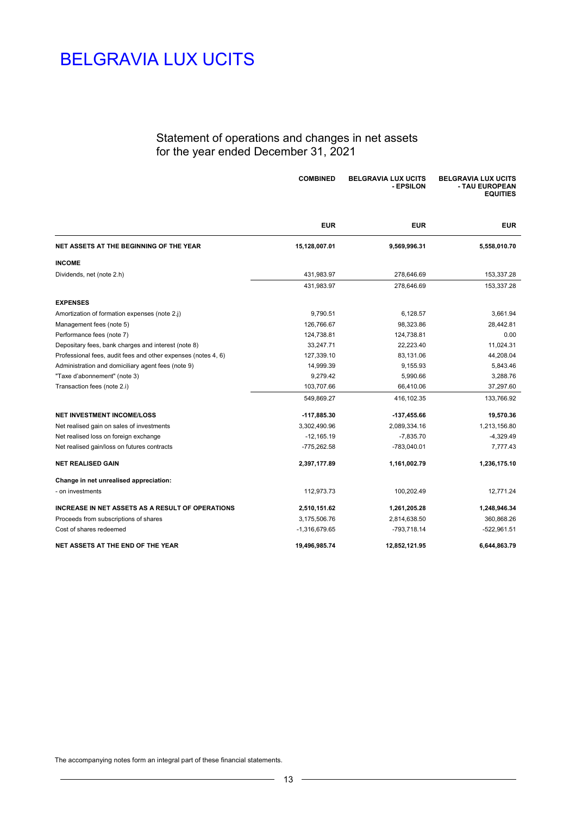### Statement of operations and changes in net assets for the year ended December 31, 2021

|                                                               | <b>COMBINED</b> | <b>BELGRAVIA LUX UCITS</b><br>- EPSILON | <b>BELGRAVIA LUX UCITS</b><br>- TAU EUROPEAN<br><b>EQUITIES</b> |
|---------------------------------------------------------------|-----------------|-----------------------------------------|-----------------------------------------------------------------|
|                                                               | <b>EUR</b>      | <b>EUR</b>                              | <b>EUR</b>                                                      |
| NET ASSETS AT THE BEGINNING OF THE YEAR                       | 15,128,007.01   | 9,569,996.31                            | 5,558,010.70                                                    |
| <b>INCOME</b>                                                 |                 |                                         |                                                                 |
| Dividends, net (note 2.h)                                     | 431,983.97      | 278,646.69                              | 153,337.28                                                      |
|                                                               | 431,983.97      | 278,646.69                              | 153,337.28                                                      |
| <b>EXPENSES</b>                                               |                 |                                         |                                                                 |
| Amortization of formation expenses (note 2.j)                 | 9,790.51        | 6,128.57                                | 3,661.94                                                        |
| Management fees (note 5)                                      | 126,766.67      | 98,323.86                               | 28,442.81                                                       |
| Performance fees (note 7)                                     | 124,738.81      | 124,738.81                              | 0.00                                                            |
| Depositary fees, bank charges and interest (note 8)           | 33,247.71       | 22,223.40                               | 11,024.31                                                       |
| Professional fees, audit fees and other expenses (notes 4, 6) | 127,339.10      | 83,131.06                               | 44,208.04                                                       |
| Administration and domiciliary agent fees (note 9)            | 14,999.39       | 9,155.93                                | 5,843.46                                                        |
| "Taxe d'abonnement" (note 3)                                  | 9,279.42        | 5,990.66                                | 3,288.76                                                        |
| Transaction fees (note 2.i)                                   | 103,707.66      | 66,410.06                               | 37,297.60                                                       |
|                                                               | 549,869.27      | 416,102.35                              | 133,766.92                                                      |
| <b>NET INVESTMENT INCOME/LOSS</b>                             | -117,885.30     | -137,455.66                             | 19,570.36                                                       |
| Net realised gain on sales of investments                     | 3,302,490.96    | 2,089,334.16                            | 1,213,156.80                                                    |
| Net realised loss on foreign exchange                         | $-12,165.19$    | $-7,835.70$                             | $-4,329.49$                                                     |
| Net realised gain/loss on futures contracts                   | -775,262.58     | -783,040.01                             | 7,777.43                                                        |
| <b>NET REALISED GAIN</b>                                      | 2,397,177.89    | 1,161,002.79                            | 1,236,175.10                                                    |
| Change in net unrealised appreciation:                        |                 |                                         |                                                                 |
| - on investments                                              | 112,973.73      | 100,202.49                              | 12,771.24                                                       |
| <b>INCREASE IN NET ASSETS AS A RESULT OF OPERATIONS</b>       | 2,510,151.62    | 1,261,205.28                            | 1,248,946.34                                                    |
| Proceeds from subscriptions of shares                         | 3,175,506.76    | 2,814,638.50                            | 360,868.26                                                      |
| Cost of shares redeemed                                       | -1,316,679.65   | -793,718.14                             | $-522,961.51$                                                   |
| NET ASSETS AT THE END OF THE YEAR                             | 19,496,985.74   | 12,852,121.95                           | 6,644,863.79                                                    |

The accompanying notes form an integral part of these financial statements.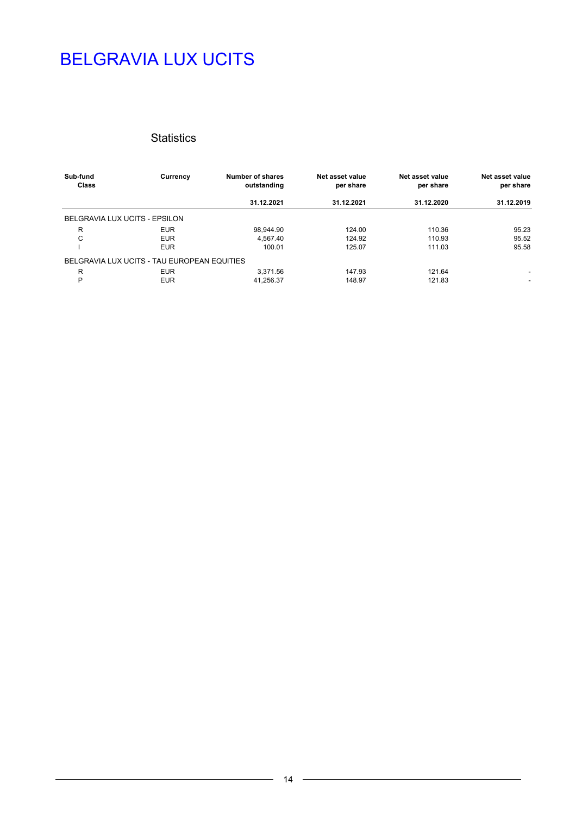### **Statistics**

| Sub-fund<br><b>Class</b> | Currency                                    | Number of shares<br>outstanding | Net asset value<br>per share | Net asset value<br>per share | Net asset value<br>per share |
|--------------------------|---------------------------------------------|---------------------------------|------------------------------|------------------------------|------------------------------|
|                          |                                             | 31.12.2021                      | 31.12.2021                   | 31.12.2020                   | 31.12.2019                   |
|                          | BELGRAVIA LUX UCITS - EPSILON               |                                 |                              |                              |                              |
| R                        | <b>EUR</b>                                  | 98.944.90                       | 124.00                       | 110.36                       | 95.23                        |
| C                        | <b>EUR</b>                                  | 4.567.40                        | 124.92                       | 110.93                       | 95.52                        |
|                          | <b>EUR</b>                                  | 100.01                          | 125.07                       | 111.03                       | 95.58                        |
|                          | BELGRAVIA LUX UCITS - TAU EUROPEAN EQUITIES |                                 |                              |                              |                              |
| R                        | <b>EUR</b>                                  | 3.371.56                        | 147.93                       | 121.64                       | ٠                            |
| P                        | <b>EUR</b>                                  | 41.256.37                       | 148.97                       | 121.83                       | ٠                            |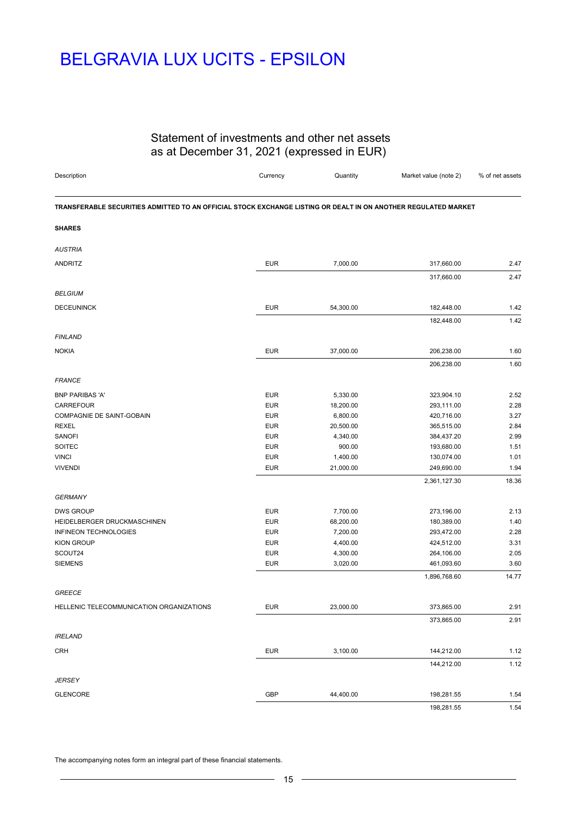# BELGRAVIA LUX UCITS - EPSILON

### Statement of investments and other net assets as at December 31, 2021 (expressed in EUR)

| Description                                                                                                    | Currency                 | Quantity  | Market value (note 2) | % of net assets |
|----------------------------------------------------------------------------------------------------------------|--------------------------|-----------|-----------------------|-----------------|
| TRANSFERABLE SECURITIES ADMITTED TO AN OFFICIAL STOCK EXCHANGE LISTING OR DEALT IN ON ANOTHER REGULATED MARKET |                          |           |                       |                 |
| <b>SHARES</b>                                                                                                  |                          |           |                       |                 |
| <b>AUSTRIA</b>                                                                                                 |                          |           |                       |                 |
| ANDRITZ                                                                                                        | <b>EUR</b>               | 7,000.00  | 317,660.00            | 2.47            |
|                                                                                                                |                          |           | 317,660.00            | 2.47            |
| <b>BELGIUM</b>                                                                                                 |                          |           |                       |                 |
| <b>DECEUNINCK</b>                                                                                              | <b>EUR</b>               | 54,300.00 | 182,448.00            | 1.42            |
|                                                                                                                |                          |           |                       | 1.42            |
|                                                                                                                |                          |           | 182,448.00            |                 |
| <b>FINLAND</b>                                                                                                 |                          |           |                       |                 |
| <b>NOKIA</b>                                                                                                   | <b>EUR</b>               | 37,000.00 | 206,238.00            | 1.60            |
|                                                                                                                |                          |           | 206,238.00            | 1.60            |
|                                                                                                                |                          |           |                       |                 |
| <b>FRANCE</b>                                                                                                  |                          |           |                       |                 |
| <b>BNP PARIBAS 'A'</b>                                                                                         | <b>EUR</b>               | 5,330.00  | 323,904.10            | 2.52            |
| CARREFOUR                                                                                                      | <b>EUR</b>               | 18,200.00 | 293,111.00            | 2.28            |
| COMPAGNIE DE SAINT-GOBAIN                                                                                      | <b>EUR</b>               | 6,800.00  | 420,716.00            | 3.27            |
| <b>REXEL</b>                                                                                                   | <b>EUR</b>               | 20,500.00 | 365,515.00            | 2.84            |
| SANOFI                                                                                                         | <b>EUR</b>               | 4,340.00  | 384,437.20            | 2.99            |
| SOITEC                                                                                                         | <b>EUR</b>               | 900.00    | 193,680.00            | 1.51            |
| <b>VINCI</b>                                                                                                   | <b>EUR</b><br><b>EUR</b> | 1,400.00  | 130,074.00            | 1.01            |
| <b>VIVENDI</b>                                                                                                 |                          | 21,000.00 | 249,690.00            | 1.94            |
|                                                                                                                |                          |           | 2,361,127.30          | 18.36           |
| <b>GERMANY</b>                                                                                                 |                          |           |                       |                 |
| <b>DWS GROUP</b>                                                                                               | <b>EUR</b>               | 7,700.00  | 273,196.00            | 2.13            |
| HEIDELBERGER DRUCKMASCHINEN                                                                                    | <b>EUR</b>               | 68,200.00 | 180,389.00            | 1.40            |
| INFINEON TECHNOLOGIES                                                                                          | <b>EUR</b>               | 7,200.00  | 293,472.00            | 2.28            |
| <b>KION GROUP</b>                                                                                              | <b>EUR</b>               | 4,400.00  | 424,512.00            | 3.31            |
| SCOUT24                                                                                                        | <b>EUR</b>               | 4,300.00  | 264,106.00            | 2.05            |
| <b>SIEMENS</b>                                                                                                 | <b>EUR</b>               | 3,020.00  | 461,093.60            | 3.60            |
|                                                                                                                |                          |           | 1,896,768.60          | 14.77           |
|                                                                                                                |                          |           |                       |                 |
| <b>GREECE</b>                                                                                                  |                          |           |                       |                 |
| HELLENIC TELECOMMUNICATION ORGANIZATIONS                                                                       | <b>EUR</b>               | 23,000.00 | 373,865.00            | 2.91            |
|                                                                                                                |                          |           | 373,865.00            | 2.91            |
| <b>IRELAND</b>                                                                                                 |                          |           |                       |                 |
| <b>CRH</b>                                                                                                     | <b>EUR</b>               | 3,100.00  | 144,212.00            | 1.12            |
|                                                                                                                |                          |           | 144,212.00            | 1.12            |
|                                                                                                                |                          |           |                       |                 |
| <b>JERSEY</b>                                                                                                  |                          |           |                       |                 |
| <b>GLENCORE</b>                                                                                                | GBP                      | 44,400.00 | 198,281.55            | 1.54            |
|                                                                                                                |                          |           | 198,281.55            | 1.54            |

The accompanying notes form an integral part of these financial statements.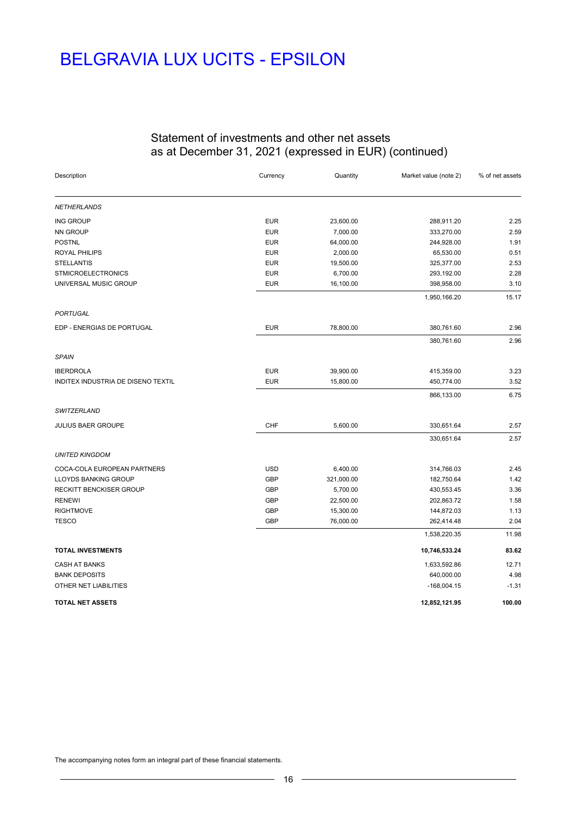# BELGRAVIA LUX UCITS - EPSILON

### Statement of investments and other net assets as at December 31, 2021 (expressed in EUR) (continued)

| Description                        | Currency   | Quantity   | Market value (note 2) | % of net assets |
|------------------------------------|------------|------------|-----------------------|-----------------|
| <b>NETHERLANDS</b>                 |            |            |                       |                 |
| <b>ING GROUP</b>                   | <b>EUR</b> | 23,600.00  | 288,911.20            | 2.25            |
| NN GROUP                           | <b>EUR</b> | 7,000.00   | 333,270.00            | 2.59            |
| <b>POSTNL</b>                      | <b>EUR</b> | 64,000.00  | 244,928.00            | 1.91            |
| ROYAL PHILIPS                      | <b>EUR</b> | 2,000.00   | 65,530.00             | 0.51            |
| <b>STELLANTIS</b>                  | <b>EUR</b> | 19,500.00  | 325,377.00            | 2.53            |
| <b>STMICROELECTRONICS</b>          | <b>EUR</b> | 6,700.00   | 293,192.00            | 2.28            |
| UNIVERSAL MUSIC GROUP              | <b>EUR</b> | 16,100.00  | 398,958.00            | 3.10            |
|                                    |            |            | 1,950,166.20          | 15.17           |
| PORTUGAL                           |            |            |                       |                 |
| EDP - ENERGIAS DE PORTUGAL         | <b>EUR</b> | 78,800.00  | 380,761.60            | 2.96            |
|                                    |            |            | 380,761.60            | 2.96            |
| <b>SPAIN</b>                       |            |            |                       |                 |
| <b>IBERDROLA</b>                   | <b>EUR</b> | 39,900.00  | 415,359.00            | 3.23            |
| INDITEX INDUSTRIA DE DISENO TEXTIL | <b>EUR</b> | 15,800.00  | 450,774.00            | 3.52            |
|                                    |            |            | 866,133.00            | 6.75            |
| SWITZERLAND                        |            |            |                       |                 |
| JULIUS BAER GROUPE                 | <b>CHF</b> | 5,600.00   | 330,651.64            | 2.57            |
|                                    |            |            | 330,651.64            | 2.57            |
| <b>UNITED KINGDOM</b>              |            |            |                       |                 |
| COCA-COLA EUROPEAN PARTNERS        | <b>USD</b> | 6,400.00   | 314,766.03            | 2.45            |
| LLOYDS BANKING GROUP               | <b>GBP</b> | 321,000.00 | 182,750.64            | 1.42            |
| RECKITT BENCKISER GROUP            | <b>GBP</b> | 5,700.00   | 430,553.45            | 3.36            |
| <b>RENEWI</b>                      | <b>GBP</b> | 22,500.00  | 202,863.72            | 1.58            |
| <b>RIGHTMOVE</b>                   | <b>GBP</b> | 15,300.00  | 144,872.03            | 1.13            |
| <b>TESCO</b>                       | <b>GBP</b> | 76,000.00  | 262,414.48            | 2.04            |
|                                    |            |            | 1,538,220.35          | 11.98           |
| <b>TOTAL INVESTMENTS</b>           |            |            | 10,746,533.24         | 83.62           |
| <b>CASH AT BANKS</b>               |            |            | 1,633,592.86          | 12.71           |
| <b>BANK DEPOSITS</b>               |            |            | 640,000.00            | 4.98            |
| OTHER NET LIABILITIES              |            |            | $-168,004.15$         | $-1.31$         |
| <b>TOTAL NET ASSETS</b>            |            |            | 12,852,121.95         | 100.00          |

The accompanying notes form an integral part of these financial statements.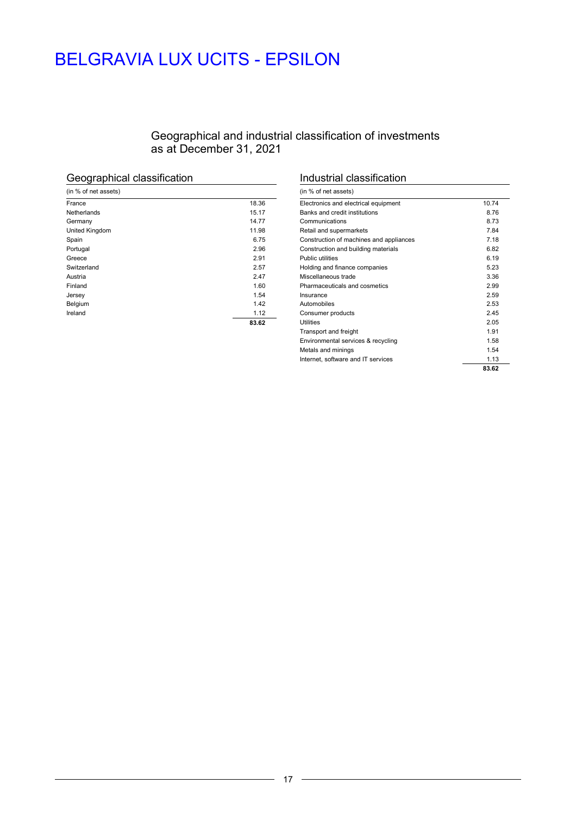# BELGRAVIA LUX UCITS - EPSILON

### Geographical and industrial classification of investments as at December 31, 2021

# Geographical classification

| (in % of net assets) |       |
|----------------------|-------|
| France               | 18.36 |
| Netherlands          | 15.17 |
| Germany              | 14.77 |
| United Kingdom       | 11.98 |
| Spain                | 6.75  |
| Portugal             | 2.96  |
| Greece               | 2.91  |
| Switzerland          | 2.57  |
| Austria              | 2.47  |
| Finland              | 1.60  |
| Jersey               | 1.54  |
| Belgium              | 1.42  |
| Ireland              | 1.12  |
|                      | 83.62 |

### Industrial classification

| (in % of net assets)                    |       |
|-----------------------------------------|-------|
| Electronics and electrical equipment    | 10.74 |
| Banks and credit institutions           | 8.76  |
| Communications                          | 8.73  |
| Retail and supermarkets                 | 7.84  |
| Construction of machines and appliances | 7.18  |
| Construction and building materials     | 6.82  |
| Public utilities                        | 6.19  |
| Holding and finance companies           | 5.23  |
| Miscellaneous trade                     | 3.36  |
| Pharmaceuticals and cosmetics           | 2.99  |
| Insurance                               | 2.59  |
| Automobiles                             | 2.53  |
| Consumer products                       | 2.45  |
| Utilities                               | 2.05  |
| Transport and freight                   | 1.91  |
| Environmental services & recycling      | 1.58  |
| Metals and minings                      | 1.54  |
| Internet, software and IT services      | 1.13  |
|                                         | 83.62 |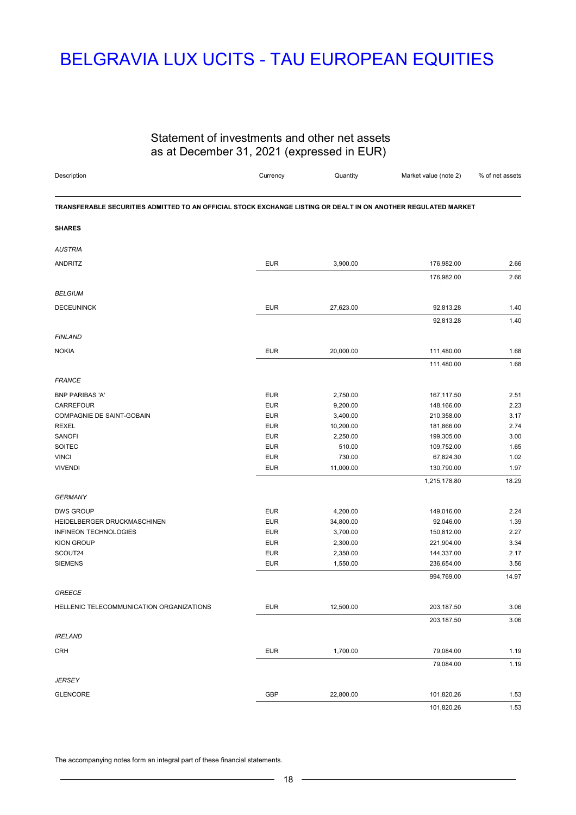# BELGRAVIA LUX UCITS - TAU EUROPEAN EQUITIES

### Statement of investments and other net assets as at December 31, 2021 (expressed in EUR)

| Description                                                                                                    | Currency   | Quantity  | Market value (note 2)  | % of net assets |
|----------------------------------------------------------------------------------------------------------------|------------|-----------|------------------------|-----------------|
| TRANSFERABLE SECURITIES ADMITTED TO AN OFFICIAL STOCK EXCHANGE LISTING OR DEALT IN ON ANOTHER REGULATED MARKET |            |           |                        |                 |
| <b>SHARES</b>                                                                                                  |            |           |                        |                 |
| <b>AUSTRIA</b>                                                                                                 |            |           |                        |                 |
| <b>ANDRITZ</b>                                                                                                 | <b>EUR</b> | 3,900.00  | 176,982.00             | 2.66            |
| <b>BELGIUM</b>                                                                                                 |            |           | 176,982.00             | 2.66            |
|                                                                                                                |            |           |                        |                 |
| <b>DECEUNINCK</b>                                                                                              | <b>EUR</b> | 27,623.00 | 92,813.28<br>92,813.28 | 1.40<br>1.40    |
| <b>FINLAND</b>                                                                                                 |            |           |                        |                 |
| <b>NOKIA</b>                                                                                                   | <b>EUR</b> | 20,000.00 | 111,480.00             | 1.68            |
|                                                                                                                |            |           | 111,480.00             | 1.68            |
| <b>FRANCE</b>                                                                                                  |            |           |                        |                 |
| <b>BNP PARIBAS 'A'</b>                                                                                         | <b>EUR</b> | 2,750.00  | 167,117.50             | 2.51            |
| CARREFOUR                                                                                                      | <b>EUR</b> | 9,200.00  | 148,166.00             | 2.23            |
| COMPAGNIE DE SAINT-GOBAIN                                                                                      | <b>EUR</b> | 3,400.00  | 210,358.00             | 3.17            |
| <b>REXEL</b>                                                                                                   | <b>EUR</b> | 10,200.00 | 181,866.00             | 2.74            |
| SANOFI                                                                                                         | <b>EUR</b> | 2,250.00  | 199,305.00             | 3.00            |
| SOITEC                                                                                                         | <b>EUR</b> | 510.00    | 109,752.00             | 1.65            |
| <b>VINCI</b>                                                                                                   | <b>EUR</b> | 730.00    | 67,824.30              | 1.02            |
| <b>VIVENDI</b>                                                                                                 | <b>EUR</b> | 11,000.00 | 130,790.00             | 1.97            |
|                                                                                                                |            |           | 1,215,178.80           | 18.29           |
| <b>GERMANY</b>                                                                                                 |            |           |                        |                 |
| <b>DWS GROUP</b>                                                                                               | <b>EUR</b> | 4,200.00  | 149,016.00             | 2.24            |
| HEIDELBERGER DRUCKMASCHINEN                                                                                    | <b>EUR</b> | 34,800.00 | 92,046.00              | 1.39            |
| INFINEON TECHNOLOGIES                                                                                          | <b>EUR</b> | 3,700.00  | 150,812.00             | 2.27            |
| <b>KION GROUP</b>                                                                                              | <b>EUR</b> | 2,300.00  | 221,904.00             | 3.34            |
| SCOUT24                                                                                                        | <b>EUR</b> | 2,350.00  | 144,337.00             | 2.17            |
| <b>SIEMENS</b>                                                                                                 | <b>EUR</b> | 1,550.00  | 236,654.00             | 3.56            |
|                                                                                                                |            |           | 994,769.00             | 14.97           |
| <b>GREECE</b>                                                                                                  |            |           |                        |                 |
| HELLENIC TELECOMMUNICATION ORGANIZATIONS                                                                       | <b>EUR</b> | 12,500.00 | 203,187.50             | 3.06            |
|                                                                                                                |            |           | 203,187.50             | 3.06            |
| <b>IRELAND</b>                                                                                                 |            |           |                        |                 |
| <b>CRH</b>                                                                                                     | <b>EUR</b> | 1,700.00  | 79,084.00<br>79,084.00 | 1.19<br>1.19    |
| <b>JERSEY</b>                                                                                                  |            |           |                        |                 |
| <b>GLENCORE</b>                                                                                                | GBP        | 22,800.00 | 101,820.26             | 1.53            |
|                                                                                                                |            |           | 101,820.26             | 1.53            |

The accompanying notes form an integral part of these financial statements.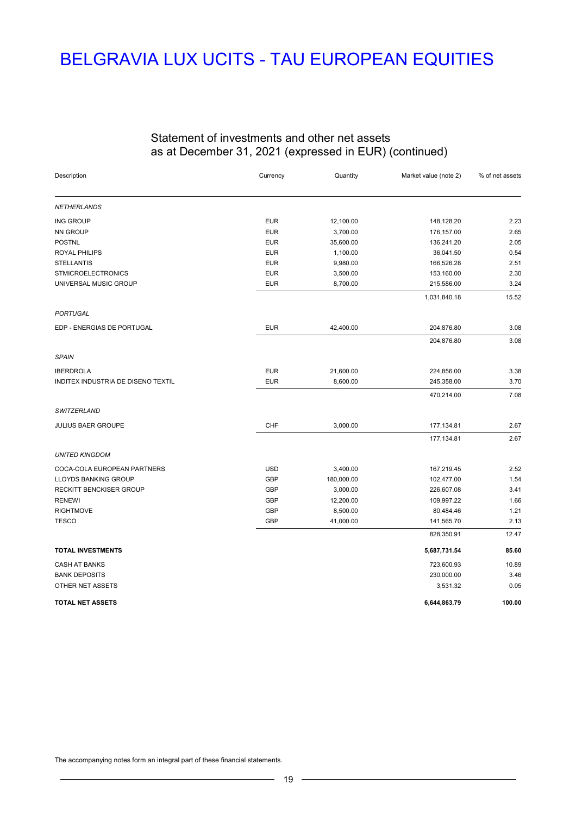# BELGRAVIA LUX UCITS - TAU EUROPEAN EQUITIES

### Statement of investments and other net assets as at December 31, 2021 (expressed in EUR) (continued)

| Description                        | Currency   | Quantity   | Market value (note 2) | % of net assets |
|------------------------------------|------------|------------|-----------------------|-----------------|
| <b>NETHERLANDS</b>                 |            |            |                       |                 |
| <b>ING GROUP</b>                   | <b>EUR</b> | 12,100.00  | 148,128.20            | 2.23            |
| <b>NN GROUP</b>                    | <b>EUR</b> | 3,700.00   | 176,157.00            | 2.65            |
| <b>POSTNL</b>                      | <b>EUR</b> | 35,600.00  | 136,241.20            | 2.05            |
| ROYAL PHILIPS                      | <b>EUR</b> | 1,100.00   | 36,041.50             | 0.54            |
| <b>STELLANTIS</b>                  | <b>EUR</b> | 9,980.00   | 166,526.28            | 2.51            |
| <b>STMICROELECTRONICS</b>          | <b>EUR</b> | 3,500.00   | 153,160.00            | 2.30            |
| UNIVERSAL MUSIC GROUP              | <b>EUR</b> | 8,700.00   | 215,586.00            | 3.24            |
|                                    |            |            | 1,031,840.18          | 15.52           |
| <b>PORTUGAL</b>                    |            |            |                       |                 |
| EDP - ENERGIAS DE PORTUGAL         | <b>EUR</b> | 42,400.00  | 204,876.80            | 3.08            |
|                                    |            |            | 204,876.80            | 3.08            |
| <b>SPAIN</b>                       |            |            |                       |                 |
| <b>IBERDROLA</b>                   | <b>EUR</b> | 21,600.00  | 224,856.00            | 3.38            |
| INDITEX INDUSTRIA DE DISENO TEXTIL | <b>EUR</b> | 8,600.00   | 245,358.00            | 3.70            |
|                                    |            |            | 470,214.00            | 7.08            |
| SWITZERLAND                        |            |            |                       |                 |
| JULIUS BAER GROUPE                 | CHF        | 3,000.00   | 177,134.81            | 2.67            |
|                                    |            |            | 177,134.81            | 2.67            |
| <b>UNITED KINGDOM</b>              |            |            |                       |                 |
| COCA-COLA EUROPEAN PARTNERS        | <b>USD</b> | 3,400.00   | 167,219.45            | 2.52            |
| LLOYDS BANKING GROUP               | <b>GBP</b> | 180,000.00 | 102,477.00            | 1.54            |
| RECKITT BENCKISER GROUP            | <b>GBP</b> | 3,000.00   | 226,607.08            | 3.41            |
| <b>RENEWI</b>                      | <b>GBP</b> | 12,200.00  | 109,997.22            | 1.66            |
| <b>RIGHTMOVE</b>                   | <b>GBP</b> | 8,500.00   | 80,484.46             | 1.21            |
| <b>TESCO</b>                       | <b>GBP</b> | 41,000.00  | 141,565.70            | 2.13            |
|                                    |            |            | 828,350.91            | 12.47           |
| <b>TOTAL INVESTMENTS</b>           |            |            | 5,687,731.54          | 85.60           |
| <b>CASH AT BANKS</b>               |            |            | 723,600.93            | 10.89           |
| <b>BANK DEPOSITS</b>               |            |            | 230,000.00            | 3.46            |
| OTHER NET ASSETS                   |            |            | 3,531.32              | 0.05            |
| <b>TOTAL NET ASSETS</b>            |            |            | 6,644,863.79          | 100.00          |

The accompanying notes form an integral part of these financial statements.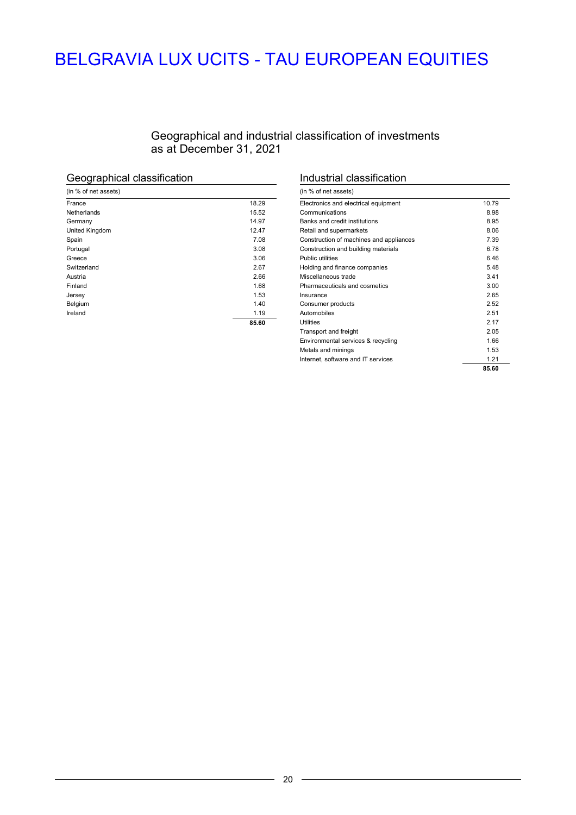# BELGRAVIA LUX UCITS - TAU EUROPEAN EQUITIES

### Geographical and industrial classification of investments as at December 31, 2021

# Geographical classification

| (in % of net assets) |       |
|----------------------|-------|
| France               | 18.29 |
| Netherlands          | 15.52 |
| Germany              | 14.97 |
| United Kingdom       | 12.47 |
| Spain                | 7.08  |
| Portugal             | 3.08  |
| Greece               | 3.06  |
| Switzerland          | 2.67  |
| Austria              | 2.66  |
| Finland              | 1.68  |
| Jersey               | 1.53  |
| Belgium              | 1.40  |
| Ireland              | 1.19  |
|                      | 85.60 |

### Industrial classification

| (in % of net assets)                    |       |
|-----------------------------------------|-------|
| Electronics and electrical equipment    | 10.79 |
| Communications                          | 8.98  |
| Banks and credit institutions           | 8.95  |
| Retail and supermarkets                 | 8.06  |
| Construction of machines and appliances | 7.39  |
| Construction and building materials     | 6.78  |
| Public utilities                        | 6.46  |
| Holding and finance companies           | 5.48  |
| Miscellaneous trade                     | 3.41  |
| Pharmaceuticals and cosmetics           | 3.00  |
| Insurance                               | 2.65  |
| Consumer products                       | 2.52  |
| Automobiles                             | 2.51  |
| Utilities                               | 2 1 7 |
| Transport and freight                   | 2.05  |
| Environmental services & recycling      | 1.66  |
| Metals and minings                      | 1.53  |
| Internet, software and IT services      | 1.21  |
|                                         | 85.60 |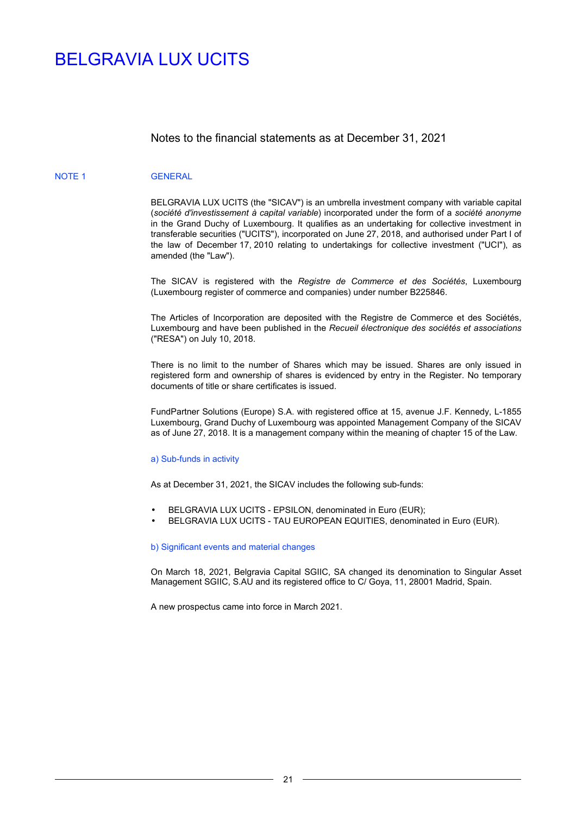### Notes to the financial statements as at December 31, 2021

#### NOTE 1 GENERAL

BELGRAVIA LUX UCITS (the "SICAV") is an umbrella investment company with variable capital (*société d'investissement à capital variable*) incorporated under the form of a *société anonyme* in the Grand Duchy of Luxembourg. It qualifies as an undertaking for collective investment in transferable securities ("UCITS"), incorporated on June 27, 2018, and authorised under Part I of the law of December 17, 2010 relating to undertakings for collective investment ("UCI"), as amended (the "Law").

The SICAV is registered with the *Registre de Commerce et des Sociétés*, Luxembourg (Luxembourg register of commerce and companies) under number B225846.

The Articles of Incorporation are deposited with the Registre de Commerce et des Sociétés, Luxembourg and have been published in the *Recueil électronique des sociétés et associations*  ("RESA") on July 10, 2018.

There is no limit to the number of Shares which may be issued. Shares are only issued in registered form and ownership of shares is evidenced by entry in the Register. No temporary documents of title or share certificates is issued.

FundPartner Solutions (Europe) S.A. with registered office at 15, avenue J.F. Kennedy, L-1855 Luxembourg, Grand Duchy of Luxembourg was appointed Management Company of the SICAV as of June 27, 2018. It is a management company within the meaning of chapter 15 of the Law.

#### a) Sub-funds in activity

As at December 31, 2021, the SICAV includes the following sub-funds:

- BELGRAVIA LUX UCITS EPSILON, denominated in Euro (EUR);
- BELGRAVIA LUX UCITS TAU EUROPEAN EQUITIES, denominated in Euro (EUR).

#### b) Significant events and material changes

On March 18, 2021, Belgravia Capital SGIIC, SA changed its denomination to Singular Asset Management SGIIC, S.AU and its registered office to C/ Goya, 11, 28001 Madrid, Spain.

A new prospectus came into force in March 2021.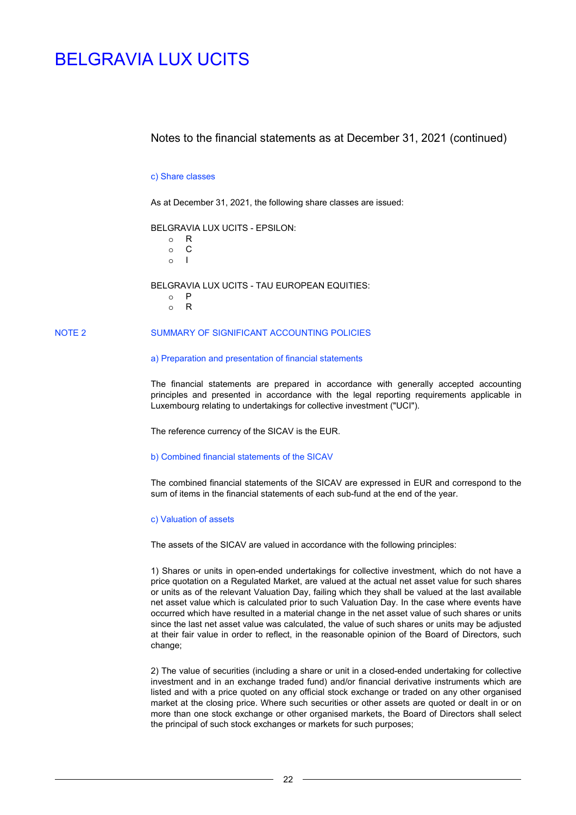### Notes to the financial statements as at December 31, 2021 (continued)

#### c) Share classes

As at December 31, 2021, the following share classes are issued:

BELGRAVIA LUX UCITS - EPSILON:

o R o C o I

BELGRAVIA LUX UCITS - TAU EUROPEAN EQUITIES:

- o P
- o R

### NOTE 2 SUMMARY OF SIGNIFICANT ACCOUNTING POLICIES

#### a) Preparation and presentation of financial statements

The financial statements are prepared in accordance with generally accepted accounting principles and presented in accordance with the legal reporting requirements applicable in Luxembourg relating to undertakings for collective investment ("UCI").

The reference currency of the SICAV is the EUR.

#### b) Combined financial statements of the SICAV

The combined financial statements of the SICAV are expressed in EUR and correspond to the sum of items in the financial statements of each sub-fund at the end of the year.

#### c) Valuation of assets

The assets of the SICAV are valued in accordance with the following principles:

1) Shares or units in open-ended undertakings for collective investment, which do not have a price quotation on a Regulated Market, are valued at the actual net asset value for such shares or units as of the relevant Valuation Day, failing which they shall be valued at the last available net asset value which is calculated prior to such Valuation Day. In the case where events have occurred which have resulted in a material change in the net asset value of such shares or units since the last net asset value was calculated, the value of such shares or units may be adjusted at their fair value in order to reflect, in the reasonable opinion of the Board of Directors, such change:

2) The value of securities (including a share or unit in a closed-ended undertaking for collective investment and in an exchange traded fund) and/or financial derivative instruments which are listed and with a price quoted on any official stock exchange or traded on any other organised market at the closing price. Where such securities or other assets are quoted or dealt in or on more than one stock exchange or other organised markets, the Board of Directors shall select the principal of such stock exchanges or markets for such purposes;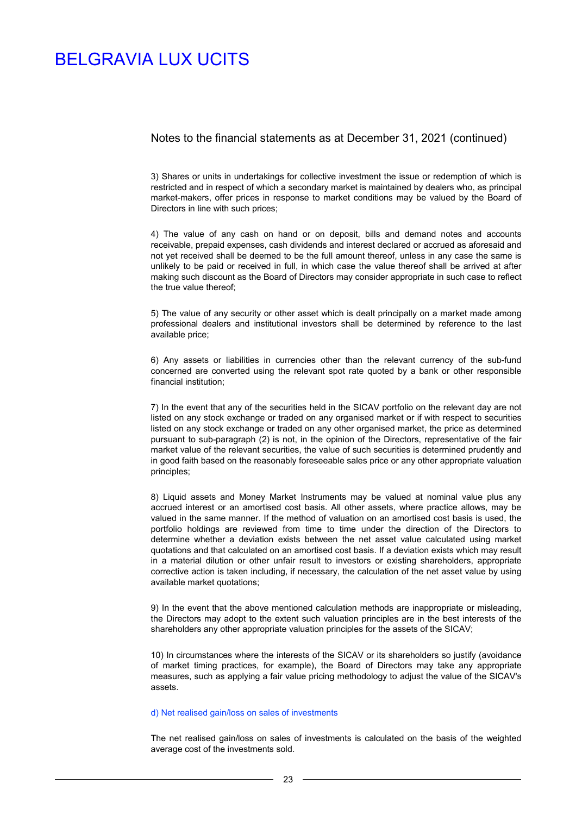### Notes to the financial statements as at December 31, 2021 (continued)

3) Shares or units in undertakings for collective investment the issue or redemption of which is restricted and in respect of which a secondary market is maintained by dealers who, as principal market-makers, offer prices in response to market conditions may be valued by the Board of Directors in line with such prices;

4) The value of any cash on hand or on deposit, bills and demand notes and accounts receivable, prepaid expenses, cash dividends and interest declared or accrued as aforesaid and not yet received shall be deemed to be the full amount thereof, unless in any case the same is unlikely to be paid or received in full, in which case the value thereof shall be arrived at after making such discount as the Board of Directors may consider appropriate in such case to reflect the true value thereof;

5) The value of any security or other asset which is dealt principally on a market made among professional dealers and institutional investors shall be determined by reference to the last available price;

6) Any assets or liabilities in currencies other than the relevant currency of the sub-fund concerned are converted using the relevant spot rate quoted by a bank or other responsible financial institution;

7) In the event that any of the securities held in the SICAV portfolio on the relevant day are not listed on any stock exchange or traded on any organised market or if with respect to securities listed on any stock exchange or traded on any other organised market, the price as determined pursuant to sub-paragraph (2) is not, in the opinion of the Directors, representative of the fair market value of the relevant securities, the value of such securities is determined prudently and in good faith based on the reasonably foreseeable sales price or any other appropriate valuation principles;

8) Liquid assets and Money Market Instruments may be valued at nominal value plus any accrued interest or an amortised cost basis. All other assets, where practice allows, may be valued in the same manner. If the method of valuation on an amortised cost basis is used, the portfolio holdings are reviewed from time to time under the direction of the Directors to determine whether a deviation exists between the net asset value calculated using market quotations and that calculated on an amortised cost basis. If a deviation exists which may result in a material dilution or other unfair result to investors or existing shareholders, appropriate corrective action is taken including, if necessary, the calculation of the net asset value by using available market quotations:

9) In the event that the above mentioned calculation methods are inappropriate or misleading, the Directors may adopt to the extent such valuation principles are in the best interests of the shareholders any other appropriate valuation principles for the assets of the SICAV;

10) In circumstances where the interests of the SICAV or its shareholders so justify (avoidance of market timing practices, for example), the Board of Directors may take any appropriate measures, such as applying a fair value pricing methodology to adjust the value of the SICAV's assets.

#### d) Net realised gain/loss on sales of investments

The net realised gain/loss on sales of investments is calculated on the basis of the weighted average cost of the investments sold.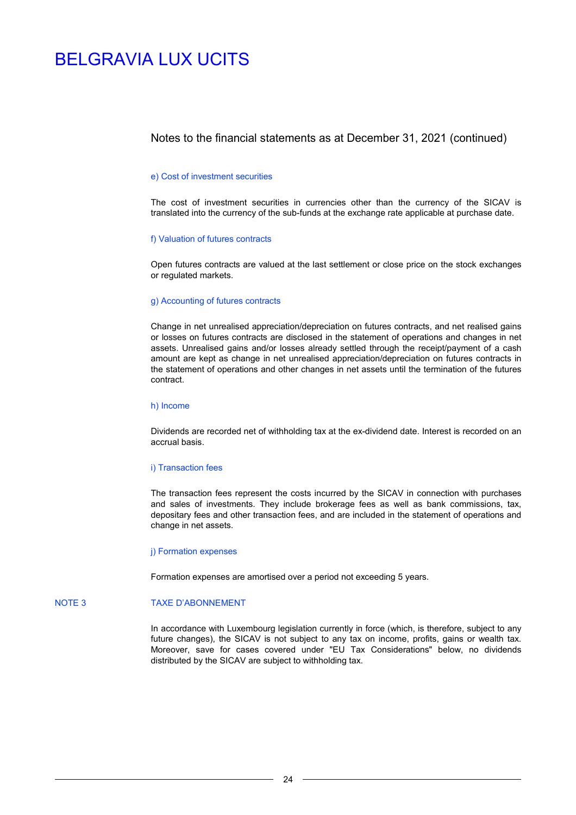### Notes to the financial statements as at December 31, 2021 (continued)

#### e) Cost of investment securities

The cost of investment securities in currencies other than the currency of the SICAV is translated into the currency of the sub-funds at the exchange rate applicable at purchase date.

#### f) Valuation of futures contracts

Open futures contracts are valued at the last settlement or close price on the stock exchanges or regulated markets.

#### g) Accounting of futures contracts

Change in net unrealised appreciation/depreciation on futures contracts, and net realised gains or losses on futures contracts are disclosed in the statement of operations and changes in net assets. Unrealised gains and/or losses already settled through the receipt/payment of a cash amount are kept as change in net unrealised appreciation/depreciation on futures contracts in the statement of operations and other changes in net assets until the termination of the futures contract.

#### h) Income

Dividends are recorded net of withholding tax at the ex-dividend date. Interest is recorded on an accrual basis.

#### i) Transaction fees

The transaction fees represent the costs incurred by the SICAV in connection with purchases and sales of investments. They include brokerage fees as well as bank commissions, tax, depositary fees and other transaction fees, and are included in the statement of operations and change in net assets.

#### j) Formation expenses

Formation expenses are amortised over a period not exceeding 5 years.

#### NOTE 3 TAXE D'ABONNEMENT

In accordance with Luxembourg legislation currently in force (which, is therefore, subject to any future changes), the SICAV is not subject to any tax on income, profits, gains or wealth tax. Moreover, save for cases covered under "EU Tax Considerations" below, no dividends distributed by the SICAV are subject to withholding tax.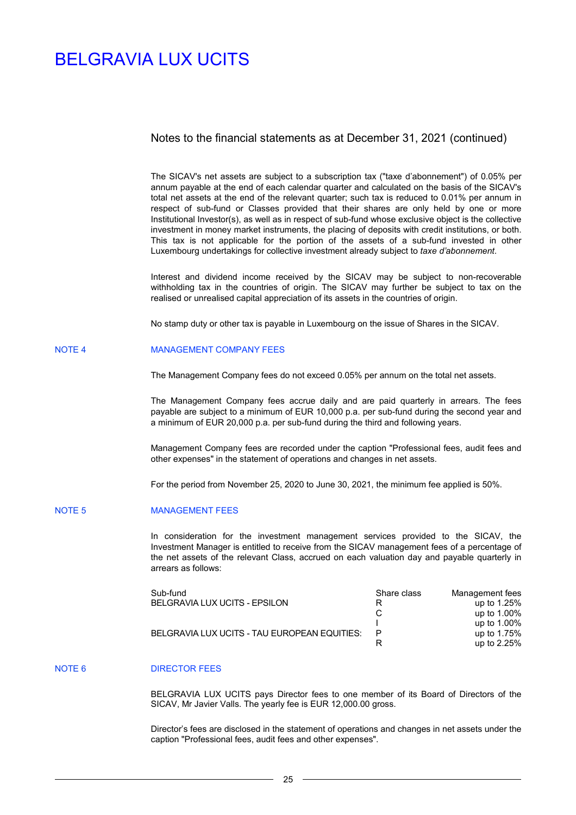### Notes to the financial statements as at December 31, 2021 (continued)

The SICAV's net assets are subject to a subscription tax ("taxe d'abonnement") of 0.05% per annum payable at the end of each calendar quarter and calculated on the basis of the SICAV's total net assets at the end of the relevant quarter; such tax is reduced to 0.01% per annum in respect of sub-fund or Classes provided that their shares are only held by one or more Institutional Investor(s), as well as in respect of sub-fund whose exclusive object is the collective investment in money market instruments, the placing of deposits with credit institutions, or both. This tax is not applicable for the portion of the assets of a sub-fund invested in other Luxembourg undertakings for collective investment already subject to *taxe d'abonnement*.

Interest and dividend income received by the SICAV may be subject to non-recoverable withholding tax in the countries of origin. The SICAV may further be subject to tax on the realised or unrealised capital appreciation of its assets in the countries of origin.

No stamp duty or other tax is payable in Luxembourg on the issue of Shares in the SICAV.

#### NOTE 4 MANAGEMENT COMPANY FEES

The Management Company fees do not exceed 0.05% per annum on the total net assets.

The Management Company fees accrue daily and are paid quarterly in arrears. The fees payable are subject to a minimum of EUR 10,000 p.a. per sub-fund during the second year and a minimum of EUR 20,000 p.a. per sub-fund during the third and following years.

Management Company fees are recorded under the caption "Professional fees, audit fees and other expenses" in the statement of operations and changes in net assets.

For the period from November 25, 2020 to June 30, 2021, the minimum fee applied is 50%.

#### NOTE 5 MANAGEMENT FEES

In consideration for the investment management services provided to the SICAV, the Investment Manager is entitled to receive from the SICAV management fees of a percentage of the net assets of the relevant Class, accrued on each valuation day and payable quarterly in arrears as follows:

| Sub-fund                                     | Share class | Management fees |
|----------------------------------------------|-------------|-----------------|
| BELGRAVIA LUX UCITS - EPSILON                | R           | up to 1.25%     |
|                                              |             | up to 1.00%     |
|                                              |             | up to 1.00%     |
| BELGRAVIA LUX UCITS - TAU EUROPEAN EQUITIES: |             | up to 1.75%     |
|                                              |             | up to $2.25%$   |

#### NOTE 6 DIRECTOR FEES

BELGRAVIA LUX UCITS pays Director fees to one member of its Board of Directors of the SICAV, Mr Javier Valls. The yearly fee is EUR 12,000.00 gross.

Director's fees are disclosed in the statement of operations and changes in net assets under the caption "Professional fees, audit fees and other expenses".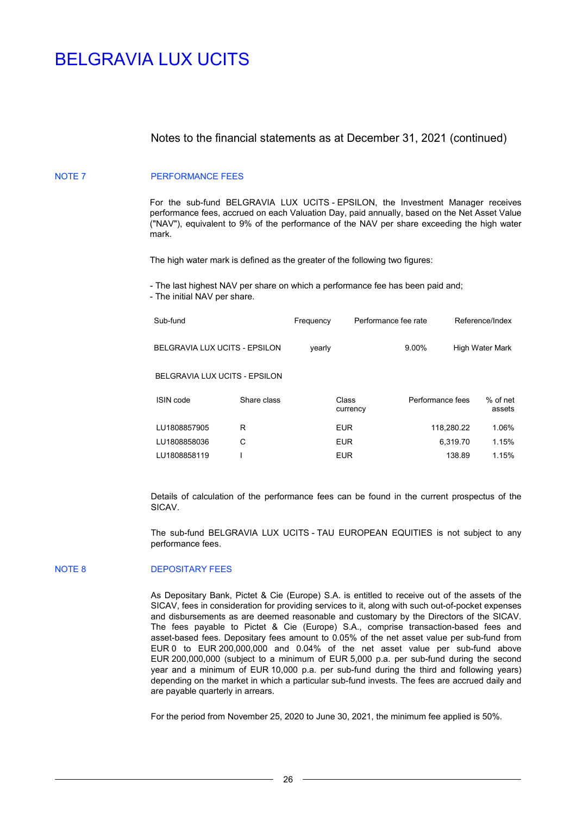### Notes to the financial statements as at December 31, 2021 (continued)

#### NOTE 7 PERFORMANCE FEES

For the sub-fund BELGRAVIA LUX UCITS - EPSILON, the Investment Manager receives performance fees, accrued on each Valuation Day, paid annually, based on the Net Asset Value ("NAV"), equivalent to 9% of the performance of the NAV per share exceeding the high water mark.

The high water mark is defined as the greater of the following two figures:

- The last highest NAV per share on which a performance fee has been paid and;

- The initial NAV per share.

| Sub-fund                             |             | Frequency | Performance fee rate |                  | Reference/Index |                        |
|--------------------------------------|-------------|-----------|----------------------|------------------|-----------------|------------------------|
| BELGRAVIA LUX UCITS - EPSILON        |             | yearly    |                      | 9.00%            |                 | <b>High Water Mark</b> |
| <b>BELGRAVIA LUX UCITS - EPSILON</b> |             |           |                      |                  |                 |                        |
| ISIN code                            | Share class |           | Class<br>currency    | Performance fees |                 | % of net<br>assets     |
| LU1808857905                         | R           |           | <b>EUR</b>           |                  | 118,280.22      | 1.06%                  |
| LU1808858036                         | С           |           | <b>EUR</b>           |                  | 6,319.70        | 1.15%                  |
| LU1808858119                         |             |           | <b>EUR</b>           |                  | 138.89          | 1.15%                  |

Details of calculation of the performance fees can be found in the current prospectus of the SICAV.

The sub-fund BELGRAVIA LUX UCITS - TAU EUROPEAN EQUITIES is not subject to any performance fees.

### NOTE 8 DEPOSITARY FEES

As Depositary Bank, Pictet & Cie (Europe) S.A. is entitled to receive out of the assets of the SICAV, fees in consideration for providing services to it, along with such out-of-pocket expenses and disbursements as are deemed reasonable and customary by the Directors of the SICAV. The fees payable to Pictet & Cie (Europe) S.A., comprise transaction-based fees and asset-based fees. Depositary fees amount to 0.05% of the net asset value per sub-fund from EUR 0 to EUR 200,000,000 and 0.04% of the net asset value per sub-fund above EUR 200,000,000 (subject to a minimum of EUR 5,000 p.a. per sub-fund during the second year and a minimum of EUR 10,000 p.a. per sub-fund during the third and following years) depending on the market in which a particular sub-fund invests. The fees are accrued daily and are payable quarterly in arrears.

For the period from November 25, 2020 to June 30, 2021, the minimum fee applied is 50%.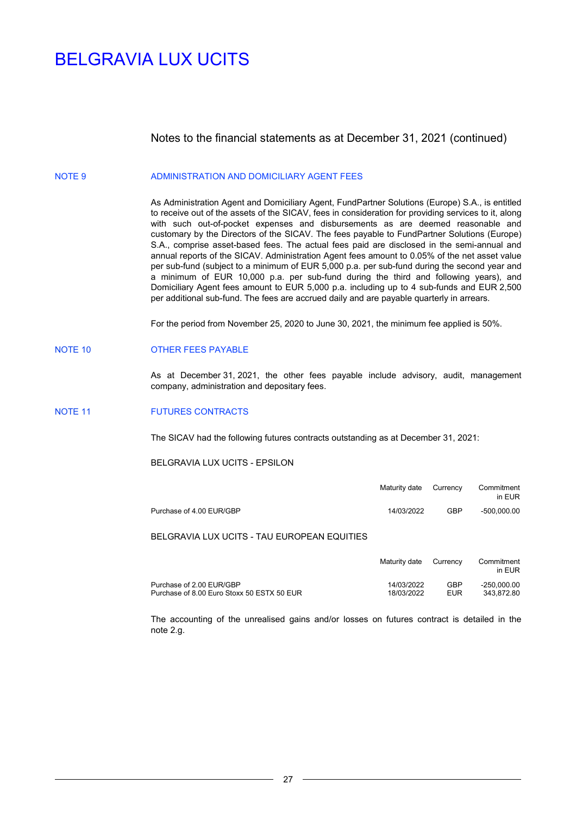### Notes to the financial statements as at December 31, 2021 (continued)

#### NOTE 9 ADMINISTRATION AND DOMICILIARY AGENT FEES

As Administration Agent and Domiciliary Agent, FundPartner Solutions (Europe) S.A., is entitled to receive out of the assets of the SICAV, fees in consideration for providing services to it, along with such out-of-pocket expenses and disbursements as are deemed reasonable and customary by the Directors of the SICAV. The fees payable to FundPartner Solutions (Europe) S.A., comprise asset-based fees. The actual fees paid are disclosed in the semi-annual and annual reports of the SICAV. Administration Agent fees amount to 0.05% of the net asset value per sub-fund (subject to a minimum of EUR 5,000 p.a. per sub-fund during the second year and a minimum of EUR 10,000 p.a. per sub-fund during the third and following years), and Domiciliary Agent fees amount to EUR 5,000 p.a. including up to 4 sub-funds and EUR 2,500 per additional sub-fund. The fees are accrued daily and are payable quarterly in arrears.

For the period from November 25, 2020 to June 30, 2021, the minimum fee applied is 50%.

#### NOTE 10 OTHER FEES PAYABLE

As at December 31, 2021, the other fees payable include advisory, audit, management company, administration and depositary fees.

#### NOTE 11 FUTURES CONTRACTS

The SICAV had the following futures contracts outstanding as at December 31, 2021:

BELGRAVIA LUX UCITS - EPSILON

|                          | Maturity date Currency |            | Commitment<br>in EUR |
|--------------------------|------------------------|------------|----------------------|
| Purchase of 4.00 EUR/GBP | 14/03/2022             | <b>GBP</b> | $-500.000.00$        |

### BELGRAVIA LUX UCITS - TAU EUROPEAN EQUITIES

|                                            | Maturity date | Currency | Commitment<br>in EUR |
|--------------------------------------------|---------------|----------|----------------------|
| Purchase of 2.00 EUR/GBP                   | 14/03/2022    | GBP      | $-250.000.00$        |
| Purchase of 8.00 Euro Stoxx 50 ESTX 50 EUR | 18/03/2022    | FUR      | 343.872.80           |

The accounting of the unrealised gains and/or losses on futures contract is detailed in the note 2.g.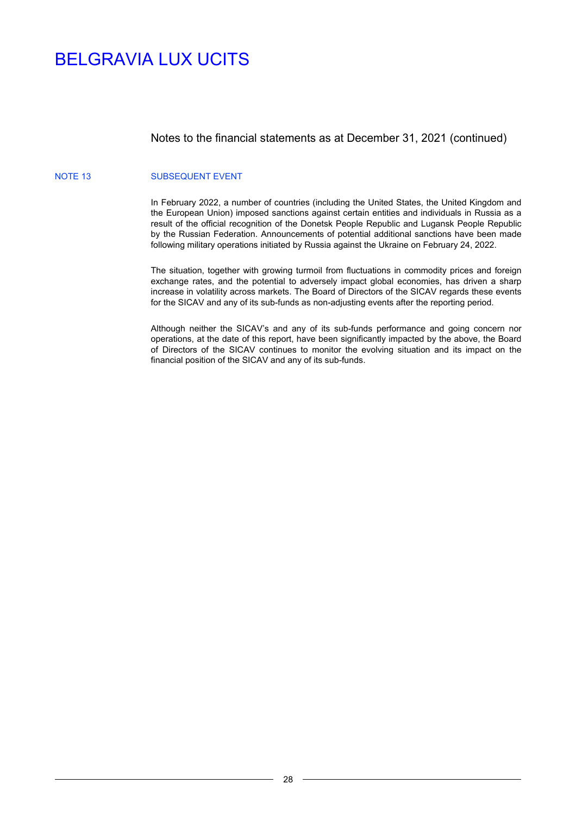### Notes to the financial statements as at December 31, 2021 (continued)

#### NOTE 13 SUBSEQUENT EVENT

In February 2022, a number of countries (including the United States, the United Kingdom and the European Union) imposed sanctions against certain entities and individuals in Russia as a result of the official recognition of the Donetsk People Republic and Lugansk People Republic by the Russian Federation. Announcements of potential additional sanctions have been made following military operations initiated by Russia against the Ukraine on February 24, 2022.

The situation, together with growing turmoil from fluctuations in commodity prices and foreign exchange rates, and the potential to adversely impact global economies, has driven a sharp increase in volatility across markets. The Board of Directors of the SICAV regards these events for the SICAV and any of its sub-funds as non-adjusting events after the reporting period.

Although neither the SICAV's and any of its sub-funds performance and going concern nor operations, at the date of this report, have been significantly impacted by the above, the Board of Directors of the SICAV continues to monitor the evolving situation and its impact on the financial position of the SICAV and any of its sub-funds.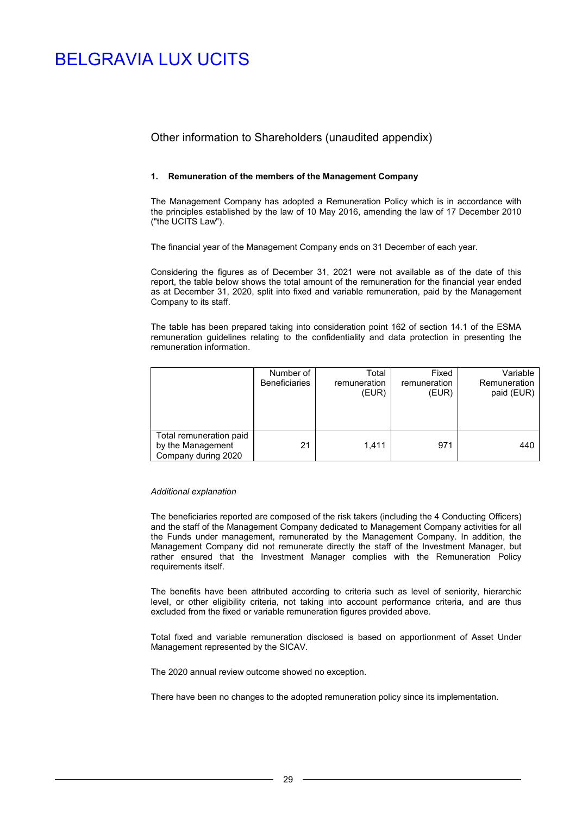### Other information to Shareholders (unaudited appendix)

#### **1. Remuneration of the members of the Management Company**

The Management Company has adopted a Remuneration Policy which is in accordance with the principles established by the law of 10 May 2016, amending the law of 17 December 2010 ("the UCITS Law").

The financial year of the Management Company ends on 31 December of each year.

Considering the figures as of December 31, 2021 were not available as of the date of this report, the table below shows the total amount of the remuneration for the financial year ended as at December 31, 2020, split into fixed and variable remuneration, paid by the Management Company to its staff.

The table has been prepared taking into consideration point 162 of section 14.1 of the ESMA remuneration guidelines relating to the confidentiality and data protection in presenting the remuneration information.

|                                                                     | Number of<br><b>Beneficiaries</b> | Total<br>remuneration<br>(EUR) | Fixed<br>remuneration<br>(EUR) | Variable<br>Remuneration<br>paid (EUR) |
|---------------------------------------------------------------------|-----------------------------------|--------------------------------|--------------------------------|----------------------------------------|
| Total remuneration paid<br>by the Management<br>Company during 2020 | 21                                | 1,411                          | 971                            | 440                                    |

#### *Additional explanation*

The beneficiaries reported are composed of the risk takers (including the 4 Conducting Officers) and the staff of the Management Company dedicated to Management Company activities for all the Funds under management, remunerated by the Management Company. In addition, the Management Company did not remunerate directly the staff of the Investment Manager, but rather ensured that the Investment Manager complies with the Remuneration Policy requirements itself.

The benefits have been attributed according to criteria such as level of seniority, hierarchic level, or other eligibility criteria, not taking into account performance criteria, and are thus excluded from the fixed or variable remuneration figures provided above.

Total fixed and variable remuneration disclosed is based on apportionment of Asset Under Management represented by the SICAV.

The 2020 annual review outcome showed no exception.

There have been no changes to the adopted remuneration policy since its implementation.